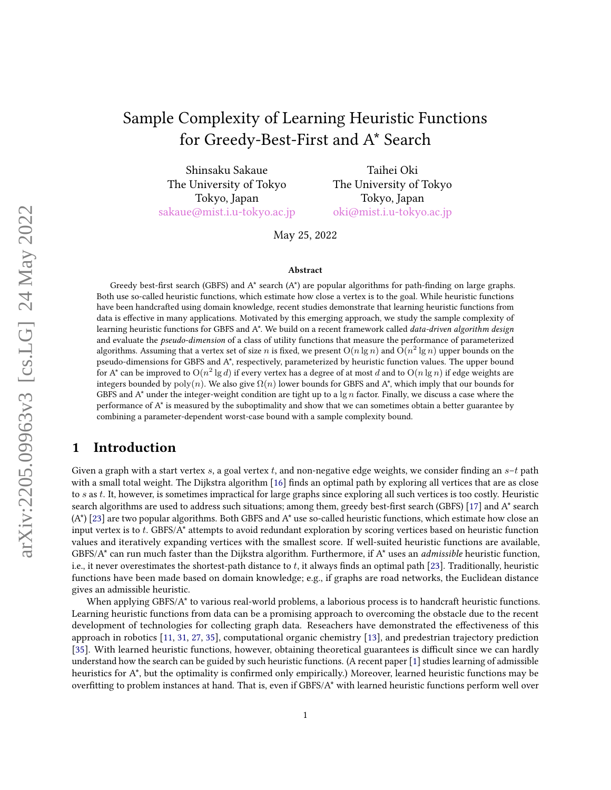# Sample Complexity of Learning Heuristic Functions for Greedy-Best-First and A\* Search

Shinsaku Sakaue The University of Tokyo Tokyo, Japan [sakaue@mist.i.u-tokyo.ac.jp](mailto:sakaue@mist.i.u-tokyo.ac.jp)

Taihei Oki The University of Tokyo Tokyo, Japan [oki@mist.i.u-tokyo.ac.jp](mailto:oki@mist.i.u-tokyo.ac.jp)

May 25, 2022

#### Abstract

Greedy best-first search (GBFS) and  $A^*$  search  $(A^*)$  are popular algorithms for path-finding on large graphs. Both use so-called heuristic functions, which estimate how close a vertex is to the goal. While heuristic functions have been handcrafted using domain knowledge, recent studies demonstrate that learning heuristic functions from data is effective in many applications. Motivated by this emerging approach, we study the sample complexity of learning heuristic functions for GBFS and A\*. We build on a recent framework called *data-driven algorithm design* and evaluate the pseudo-dimension of a class of utility functions that measure the performance of parameterized algorithms. Assuming that a vertex set of size  $n$  is fixed, we present  $\mathrm{O}(n\lg n)$  and  $\mathrm{O}(n^2\lg n)$  upper bounds on the pseudo-dimensions for GBFS and A\*, respectively, parameterized by heuristic function values. The upper bound for A\* can be improved to  $\mathrm{O}(n^2\lg d)$  if every vertex has a degree of at most  $d$  and to  $\mathrm{O}(n\lg n)$  if edge weights are integers bounded by  $poly(n)$ . We also give  $\Omega(n)$  lower bounds for GBFS and A\*, which imply that our bounds for GBFS and  $A^*$  under the integer-weight condition are tight up to a  $\lg n$  factor. Finally, we discuss a case where the performance of A\* is measured by the suboptimality and show that we can sometimes obtain a better guarantee by combining a parameter-dependent worst-case bound with a sample complexity bound.

## 1 Introduction

Given a graph with a start vertex s, a goal vertex t, and non-negative edge weights, we consider finding an  $s-t$  path with a small total weight. The Dijkstra algorithm [\[16\]](#page-11-0) finds an optimal path by exploring all vertices that are as close to s as t. It, however, is sometimes impractical for large graphs since exploring all such vertices is too costly. Heuristic search algorithms are used to address such situations; among them, greedy best-first search (GBFS) [\[17\]](#page-11-1) and A\* search (A\*) [\[23\]](#page-11-2) are two popular algorithms. Both GBFS and A\* use so-called heuristic functions, which estimate how close an input vertex is to t. GBFS/A\* attempts to avoid redundant exploration by scoring vertices based on heuristic function values and iteratively expanding vertices with the smallest score. If well-suited heuristic functions are available, GBFS/A $*$  can run much faster than the Dijkstra algorithm. Furthermore, if A $*$  uses an *admissible* heuristic function, i.e., it never overestimates the shortest-path distance to  $t$ , it always finds an optimal path [\[23\]](#page-11-2). Traditionally, heuristic functions have been made based on domain knowledge; e.g., if graphs are road networks, the Euclidean distance gives an admissible heuristic.

When applying GBFS/A\* to various real-world problems, a laborious process is to handcraft heuristic functions. Learning heuristic functions from data can be a promising approach to overcoming the obstacle due to the recent development of technologies for collecting graph data. Reseachers have demonstrated the effectiveness of this approach in robotics [\[11,](#page-11-3) [31,](#page-12-0) [27,](#page-12-1) [35\]](#page-12-2), computational organic chemistry [\[13\]](#page-11-4), and predestrian trajectory prediction [\[35\]](#page-12-2). With learned heuristic functions, however, obtaining theoretical guarantees is difficult since we can hardly understand how the search can be guided by such heuristic functions. (A recent paper [\[1\]](#page-10-0) studies learning of admissible heuristics for A\*, but the optimality is confirmed only empirically.) Moreover, learned heuristic functions may be overfitting to problem instances at hand. That is, even if GBFS/A\* with learned heuristic functions perform well over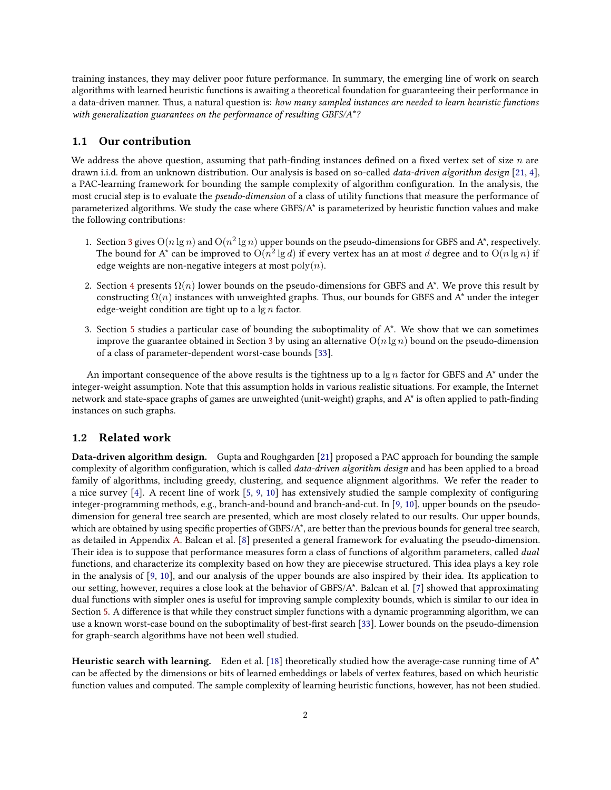training instances, they may deliver poor future performance. In summary, the emerging line of work on search algorithms with learned heuristic functions is awaiting a theoretical foundation for guaranteeing their performance in a data-driven manner. Thus, a natural question is: how many sampled instances are needed to learn heuristic functions with generalization guarantees on the performance of resulting GBFS/A<sup>\*</sup>?

#### 1.1 Our contribution

We address the above question, assuming that path-finding instances defined on a fixed vertex set of size  $n$  are drawn i.i.d. from an unknown distribution. Our analysis is based on so-called *data-driven algorithm design* [\[21,](#page-11-5) [4\]](#page-10-1), a PAC-learning framework for bounding the sample complexity of algorithm configuration. In the analysis, the most crucial step is to evaluate the pseudo-dimension of a class of utility functions that measure the performance of parameterized algorithms. We study the case where GBFS/A\* is parameterized by heuristic function values and make the following contributions:

- 1. Section [3](#page-4-0) gives  $O(n \lg n)$  and  $O(n^2 \lg n)$  upper bounds on the pseudo-dimensions for GBFS and A\*, respectively. The bound for A\* can be improved to  $\mathrm{O}(n^2 \lg d)$  if every vertex has an at most  $d$  degree and to  $\mathrm{O}(n \lg n)$  if edge weights are non-negative integers at most  $poly(n)$ .
- 2. Section [4](#page-6-0) presents  $\Omega(n)$  lower bounds on the pseudo-dimensions for GBFS and A\*. We prove this result by constructing  $\Omega(n)$  instances with unweighted graphs. Thus, our bounds for GBFS and A<sup>\*</sup> under the integer edge-weight condition are tight up to a  $\lg n$  factor.
- 3. Section [5](#page-8-0) studies a particular case of bounding the suboptimality of  $A^*$ . We show that we can sometimes improve the guarantee obtained in Section [3](#page-4-0) by using an alternative  $O(n \lg n)$  bound on the pseudo-dimension of a class of parameter-dependent worst-case bounds [\[33\]](#page-12-3).

An important consequence of the above results is the tightness up to a  $\lg n$  factor for GBFS and A<sup>\*</sup> under the integer-weight assumption. Note that this assumption holds in various realistic situations. For example, the Internet network and state-space graphs of games are unweighted (unit-weight) graphs, and  $A^*$  is often applied to path-finding instances on such graphs.

#### 1.2 Related work

Data-driven algorithm design. Gupta and Roughgarden [\[21\]](#page-11-5) proposed a PAC approach for bounding the sample complexity of algorithm configuration, which is called *data-driven algorithm design* and has been applied to a broad family of algorithms, including greedy, clustering, and sequence alignment algorithms. We refer the reader to a nice survey [\[4\]](#page-10-1). A recent line of work [\[5,](#page-10-2) [9,](#page-11-6) [10\]](#page-11-7) has extensively studied the sample complexity of conguring integer-programming methods, e.g., branch-and-bound and branch-and-cut. In [\[9,](#page-11-6) [10\]](#page-11-7), upper bounds on the pseudodimension for general tree search are presented, which are most closely related to our results. Our upper bounds, which are obtained by using specific properties of GBFS/ $A^*$ , are better than the previous bounds for general tree search, as detailed in Appendix [A.](#page-13-0) Balcan et al. [\[8\]](#page-11-8) presented a general framework for evaluating the pseudo-dimension. Their idea is to suppose that performance measures form a class of functions of algorithm parameters, called dual functions, and characterize its complexity based on how they are piecewise structured. This idea plays a key role in the analysis of [\[9,](#page-11-6) [10\]](#page-11-7), and our analysis of the upper bounds are also inspired by their idea. Its application to our setting, however, requires a close look at the behavior of GBFS/A\*. Balcan et al. [\[7\]](#page-10-3) showed that approximating dual functions with simpler ones is useful for improving sample complexity bounds, which is similar to our idea in Section [5.](#page-8-0) A difference is that while they construct simpler functions with a dynamic programming algorithm, we can use a known worst-case bound on the suboptimality of best-first search [\[33\]](#page-12-3). Lower bounds on the pseudo-dimension for graph-search algorithms have not been well studied.

Heuristic search with learning. Eden et al. [\[18\]](#page-11-9) theoretically studied how the average-case running time of  $A^*$ can be affected by the dimensions or bits of learned embeddings or labels of vertex features, based on which heuristic function values and computed. The sample complexity of learning heuristic functions, however, has not been studied.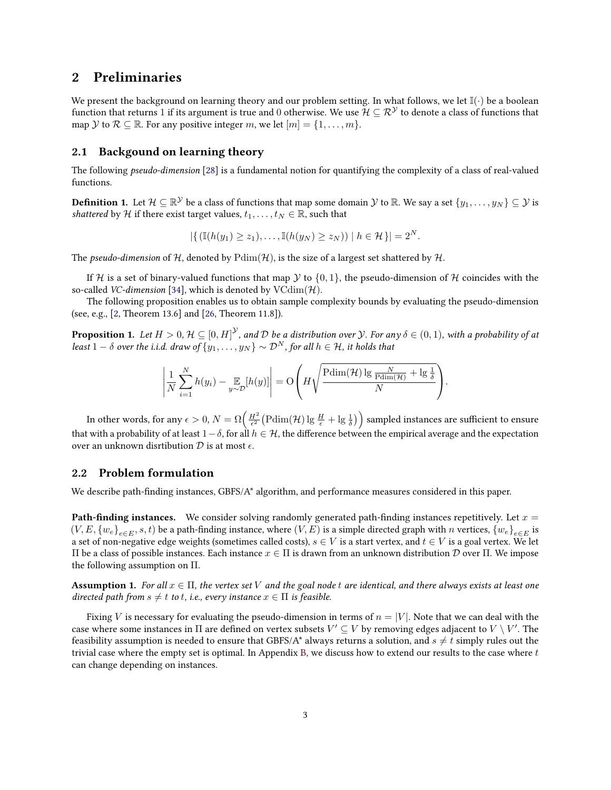## <span id="page-2-1"></span>2 Preliminaries

We present the background on learning theory and our problem setting. In what follows, we let  $\mathbb{I}(\cdot)$  be a boolean function that returns 1 if its argument is true and 0 otherwise. We use  $\mathcal{H} \subseteq \mathcal{R}^{\mathcal{Y}}$  to denote a class of functions that map Y to  $\mathcal{R} \subseteq \mathbb{R}$ . For any positive integer m, we let  $[m] = \{1, \ldots, m\}$ .

#### 2.1 Backgound on learning theory

The following pseudo-dimension [\[28\]](#page-12-4) is a fundamental notion for quantifying the complexity of a class of real-valued functions.

**Definition 1.** Let  $\mathcal{H} \subseteq \mathbb{R}^{\mathcal{Y}}$  be a class of functions that map some domain  $\mathcal{Y}$  to  $\mathbb{R}.$  We say a set  $\{y_1,\ldots,y_N\} \subseteq \mathcal{Y}$  is shattered by H if there exist target values,  $t_1, \ldots, t_N \in \mathbb{R}$ , such that

$$
|\{(\mathbb{I}(h(y_1)\geq z_1),\ldots,\mathbb{I}(h(y_N)\geq z_N))\mid h\in\mathcal{H}\}|=2^N.
$$

The pseudo-dimension of H, denoted by  $Pdim(\mathcal{H})$ , is the size of a largest set shattered by H.

If H is a set of binary-valued functions that map Y to  $\{0,1\}$ , the pseudo-dimension of H coincides with the so-called *VC-dimension* [\[34\]](#page-12-5), which is denoted by  $VCdim(\mathcal{H})$ .

The following proposition enables us to obtain sample complexity bounds by evaluating the pseudo-dimension (see, e.g., [\[2,](#page-10-4) Theorem 13.6] and [\[26,](#page-12-6) Theorem 11.8]).

<span id="page-2-0"></span>**Proposition 1.** Let  $H>0$ ,  $\mathcal{H}\subseteq [0,H]^{\mathcal{Y}}$ , and  $\mathcal D$  be a distribution over  $\mathcal Y$ . For any  $\delta\in (0,1)$ , with a probability of at least  $1 - \delta$  over the i.i.d. draw of  $\{y_1, \ldots, y_N\} \sim \mathcal{D}^N$ , for all  $h \in \mathcal{H}$ , it holds that

$$
\left|\frac{1}{N}\sum_{i=1}^N h(y_i) - \underset{y \sim \mathcal{D}}{\mathbb{E}}[h(y)]\right| = O\left(H\sqrt{\frac{\text{Pdim}(\mathcal{H})\lg\frac{N}{\text{Pdim}(\mathcal{H})} + \lg\frac{1}{\delta}}{N}}\right).
$$

In other words, for any  $\epsilon>0,$   $N=\Omega\Big(\frac{H^2}{\epsilon^2}\big(\text{Pdim}(\mathcal{H})\lg\frac{H}{\epsilon}+\lg\frac{1}{\delta}\big)\Big)$  sampled instances are sufficient to ensure that with a probability of at least  $1-\delta$ , for all  $h \in \mathcal{H}$ , the difference between the empirical average and the expectation over an unknown disrtibution  $D$  is at most  $\epsilon$ .

#### <span id="page-2-2"></span>2.2 Problem formulation

We describe path-finding instances,  $GBFS/A^*$  algorithm, and performance measures considered in this paper.

**Path-finding instances.** We consider solving randomly generated path-finding instances repetitively. Let  $x =$  $(V, E, \{w_e\}_{e \in E}, s, t)$  be a path-finding instance, where  $(V, E)$  is a simple directed graph with n vertices,  $\{w_e\}_{e \in E}$  is a set of non-negative edge weights (sometimes called costs),  $s \in V$  is a start vertex, and  $t \in V$  is a goal vertex. We let Π be a class of possible instances. Each instance x ∈ Π is drawn from an unknown distribution D over Π. We impose the following assumption on Π.

**Assumption 1.** For all  $x \in \Pi$ , the vertex set V and the goal node t are identical, and there always exists at least one directed path from  $s \neq t$  to t, i.e., every instance  $x \in \Pi$  is feasible.

Fixing V is necessary for evaluating the pseudo-dimension in terms of  $n = |V|$ . Note that we can deal with the case where some instances in  $\Pi$  are defined on vertex subsets  $V'\subseteq V$  by removing edges adjacent to  $V\setminus V'.$  The feasibility assumption is needed to ensure that GBFS/A\* always returns a solution, and  $s \neq t$  simply rules out the trivial case where the empty set is optimal. In Appendix [B,](#page-13-1) we discuss how to extend our results to the case where t can change depending on instances.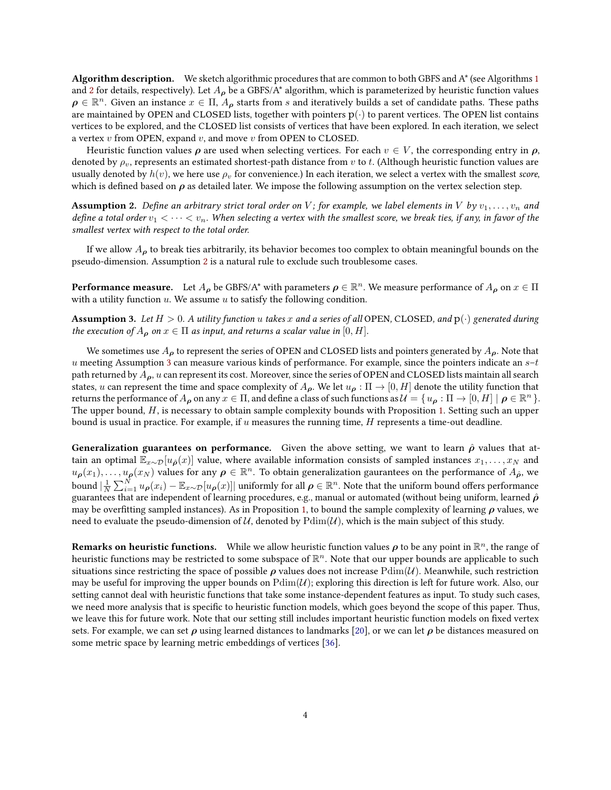Algorithm description. We sketch algorithmic procedures that are common to both GBFS and A\* (see Algorithms [1](#page-4-1) and [2](#page-5-0) for details, respectively). Let  $A_{\rho}$  be a GBFS/A\* algorithm, which is parameterized by heuristic function values  $\rho \in \mathbb{R}^n$ . Given an instance  $x \in \Pi$ ,  $A_\rho$  starts from s and iteratively builds a set of candidate paths. These paths are maintained by OPEN and CLOSED lists, together with pointers  $p(\cdot)$  to parent vertices. The OPEN list contains vertices to be explored, and the CLOSED list consists of vertices that have been explored. In each iteration, we select a vertex  $v$  from OPEN, expand  $v$ , and move  $v$  from OPEN to CLOSED.

Heuristic function values  $\rho$  are used when selecting vertices. For each  $v \in V$ , the corresponding entry in  $\rho$ , denoted by  $\rho_v$ , represents an estimated shortest-path distance from v to t. (Although heuristic function values are usually denoted by  $h(v)$ , we here use  $\rho_v$  for convenience.) In each iteration, we select a vertex with the smallest score, which is defined based on  $\rho$  as detailed later. We impose the following assumption on the vertex selection step.

<span id="page-3-0"></span>**Assumption 2.** Define an arbitrary strict toral order on V; for example, we label elements in V by  $v_1, \ldots, v_n$  and define a total order  $v_1 < \cdots < v_n$ . When selecting a vertex with the smallest score, we break ties, if any, in favor of the smallest vertex with respect to the total order.

If we allow  $A_{\rho}$  to break ties arbitrarily, its behavior becomes too complex to obtain meaningful bounds on the pseudo-dimension. Assumption [2](#page-3-0) is a natural rule to exclude such troublesome cases.

**Performance measure.** Let  $A_{\bm{\rho}}$  be GBFS/A\* with parameters  $\bm{\rho} \in \mathbb{R}^n$ . We measure performance of  $A_{\bm{\rho}}$  on  $x \in \Pi$ with a utility function  $u$ . We assume  $u$  to satisfy the following condition.

<span id="page-3-1"></span>**Assumption 3.** Let  $H > 0$ . A utility function u takes x and a series of all OPEN, CLOSED, and  $p(\cdot)$  generated during the execution of  $A_{\rho}$  on  $x \in \Pi$  as input, and returns a scalar value in  $[0, H]$ .

We sometimes use  $A_{\rho}$  to represent the series of OPEN and CLOSED lists and pointers generated by  $A_{\rho}$ . Note that u meeting Assumption [3](#page-3-1) can measure various kinds of performance. For example, since the pointers indicate an  $s-t$ path returned by  $A_{\rho}$ , u can represent its cost. Moreover, since the series of OPEN and CLOSED lists maintain all search states, u can represent the time and space complexity of  $A_{\rho}$ . We let  $u_{\rho} : \Pi \to [0, H]$  denote the utility function that returns the performance of  $A_{\bm{\rho}}$  on any  $x\in\Pi$ , and define a class of such functions as  $\mathcal{U}=\{u_{\bm{\rho}}:\Pi\to[0,H]\mid \bm{\rho}\in\mathbb{R}^n\}.$ The upper bound, H, is necessary to obtain sample complexity bounds with Proposition [1.](#page-2-0) Setting such an upper bound is usual in practice. For example, if  $u$  measures the running time,  $H$  represents a time-out deadline.

**Generalization guarantees on performance.** Given the above setting, we want to learn  $\hat{\rho}$  values that attain an optimal  $\mathbb{E}_{x\sim\mathcal{D}}[u_{\hat{\rho}}(x)]$  value, where available information consists of sampled instances  $x_1, \ldots, x_N$  and  $u_{\bm{\rho}}(x_1),\ldots,u_{\bm{\rho}}(x_N)$  values for any  $\bm{\rho}\in\mathbb{R}^n$ . To obtain generalization gaurantees on the performance of  $A_{\hat{\bm{\rho}}},$  we bound  $|\frac{1}{N}\sum_{i=1}^N u_{\bm{\rho}}(x_i)-\mathbb{E}_{x\sim\mathcal{D}}[u_{\bm{\rho}}(x)]|$  uniformly for all  $\bm{\rho}\in\mathbb{R}^n.$  Note that the uniform bound offers performance guarantees that are independent of learning procedures, e.g., manual or automated (without being uniform, learned  $\hat{\rho}$ may be overfitting sampled instances). As in Proposition [1,](#page-2-0) to bound the sample complexity of learning  $\rho$  values, we need to evaluate the pseudo-dimension of  $U$ , denoted by  $Pdim(U)$ , which is the main subject of this study.

**Remarks on heuristic functions.** While we allow heuristic function values  $\rho$  to be any point in  $\mathbb{R}^n$ , the range of heuristic functions may be restricted to some subspace of  $\mathbb{R}^n$ . Note that our upper bounds are applicable to such situations since restricting the space of possible  $\rho$  values does not increase  $\text{Pdim}(\mathcal{U})$ . Meanwhile, such restriction may be useful for improving the upper bounds on  $Pdim(U)$ ; exploring this direction is left for future work. Also, our setting cannot deal with heuristic functions that take some instance-dependent features as input. To study such cases, we need more analysis that is specific to heuristic function models, which goes beyond the scope of this paper. Thus, we leave this for future work. Note that our setting still includes important heuristic function models on fixed vertex sets. For example, we can set  $\rho$  using learned distances to landmarks [\[20\]](#page-11-10), or we can let  $\rho$  be distances measured on some metric space by learning metric embeddings of vertices [\[36\]](#page-12-7).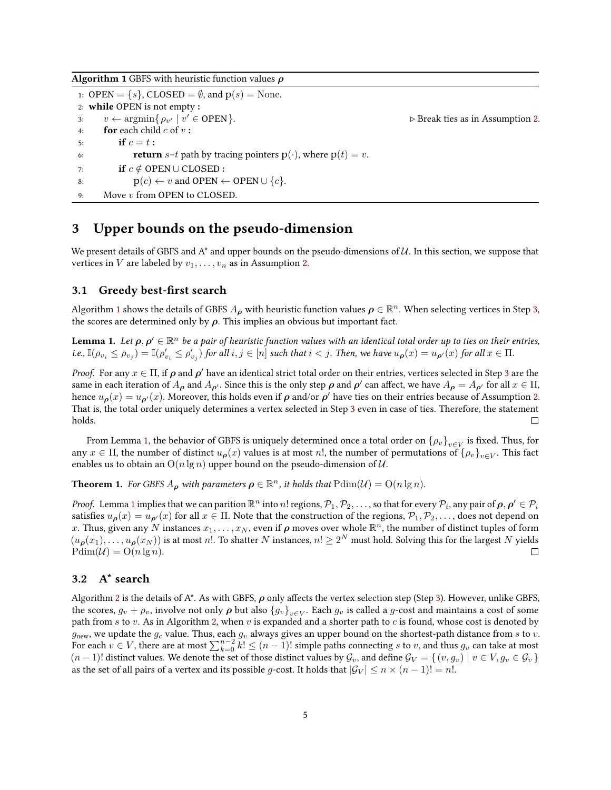<span id="page-4-1"></span>Algorithm 1 GBFS with heuristic function values  $\rho$ 

<span id="page-4-2"></span>1: OPEN =  $\{s\}$ , CLOSED =  $\emptyset$ , and  $p(s)$  = None. 2: while OPEN is not empty : 3:  $v \leftarrow \operatorname{argmin} \{ \rho_{v'} \mid v$  $\triangleright$  Break ties as in Assumption [2.](#page-3-0) 4: **for** each child  $c$  of  $v$ : 5: **if**  $c = t$  : 6: **return**  $s-t$  path by tracing pointers  $p(\cdot)$ , where  $p(t) = v$ . 7: if  $c \notin$  OPEN ∪ CLOSED : 8:  $p(c) \leftarrow v$  and OPEN  $\leftarrow$  OPEN  $\cup \{c\}$ . 9: Move v from OPEN to CLOSED.

### <span id="page-4-0"></span>3 Upper bounds on the pseudo-dimension

We present details of GBFS and  $A^*$  and upper bounds on the pseudo-dimensions of  $U$ . In this section, we suppose that vertices in V are labeled by  $v_1, \ldots, v_n$  as in Assumption [2.](#page-3-0)

#### 3.1 Greedy best-first search

Algorithm [1](#page-4-1) shows the details of GBFS  $A_{\bm{\rho}}$  with heuristic function values  $\bm{\rho}\in\mathbb{R}^n$ . When selecting vertices in Step [3,](#page-4-2) the scores are determined only by  $\rho$ . This implies an obvious but important fact.

<span id="page-4-3"></span>**Lemma 1.** Let  $\rho, \rho' \in \mathbb{R}^n$  be a pair of heuristic function values with an identical total order up to ties on their entries, i.e.,  $\mathbb{I}(\rho_{v_i} \leq \rho_{v_j}) = \mathbb{I}(\rho'_{v_i} \leq \rho'_{v_j})$  for all  $i, j \in [n]$  such that  $i < j$ . Then, we have  $u_{\bm{\rho}}(x) = u_{\bm{\rho'}}(x)$  for all  $x \in \Pi$ .

*Proof.* For any  $x \in \Pi$ , if  $\rho$  and  $\rho'$  have an identical strict total order on their entries, vertices selected in Step [3](#page-4-2) are the same in each iteration of  $A_{\rho}$  and  $A_{\rho'}$ . Since this is the only step  $\rho$  and  $\rho'$  can affect, we have  $A_{\rho} = A_{\rho'}$  for all  $x \in \Pi$ , hence  $u_{\bm{\rho}}(x)=u_{\bm{\rho}'}(x)$ . Moreover, this holds even if  $\bm{\rho}$  and/or  $\bm{\rho}'$  have ties on their entries because of Assumption [2.](#page-3-0) That is, the total order uniquely determines a vertex selected in Step [3](#page-4-2) even in case of ties. Therefore, the statement holds. П

From Lemma [1,](#page-4-3) the behavior of GBFS is uniquely determined once a total order on  $\{\rho_v\}_{v\in V}$  is fixed. Thus, for any  $x \in \Pi$ , the number of distinct  $u_{\bm{\rho}}(x)$  values is at most  $n!$ , the number of permutations of  $\{\rho_v\}_{v\in V}$ . This fact enables us to obtain an  $O(n \lg n)$  upper bound on the pseudo-dimension of U.

<span id="page-4-4"></span>**Theorem 1.** For GBFS  $A_{\rho}$  with parameters  $\rho \in \mathbb{R}^n$ , it holds that  $\text{Pdim}(\mathcal{U}) = \text{O}(n \lg n)$ .

*Proof.* Lemma [1](#page-4-3) implies that we can parition  $\mathbb{R}^n$  into  $n!$  regions,  $\mathcal{P}_1, \mathcal{P}_2, \ldots$  , so that for every  $\mathcal{P}_i$ , any pair of  $\bm{\rho}, \bm{\rho}' \in \mathcal{P}_i$ satisfies  $u_{\rho}(x) = u_{\rho}(x)$  for all  $x \in \Pi$ . Note that the construction of the regions,  $\mathcal{P}_1, \mathcal{P}_2, \ldots$ , does not depend on  $x.$  Thus, given any  $N$  instances  $x_1,\ldots,x_N,$  even if  $\bm{\rho}$  moves over whole  $\R^n$ , the number of distinct tuples of form  $(u_{\boldsymbol{\rho}}(x_1),\ldots,u_{\boldsymbol{\rho}}(x_N))$  is at most n!. To shatter N instances,  $n! \geq 2^N$  must hold. Solving this for the largest N yields  $Pdim(\mathcal{U}) = O(n \lg n).$  $\Box$ 

#### <span id="page-4-5"></span>3.2 A\* search

Algorithm [2](#page-5-0) is the details of A\*. As with GBFS,  $\rho$  only affects the vertex selection step (Step [3\)](#page-5-1). However, unlike GBFS, the scores,  $g_v + \rho_v$ , involve not only  $\bm{\rho}$  but also  $\{g_v\}_{v\in V}$ . Each  $g_v$  is called a  $g$ -cost and maintains a cost of some path from  $s$  to  $v$ . As in Algorithm [2,](#page-5-0) when  $v$  is expanded and a shorter path to  $c$  is found, whose cost is denoted by  $g_{\text{new}}$ , we update the  $g_c$  value. Thus, each  $g_v$  always gives an upper bound on the shortest-path distance from s to v. For each  $v \in V$ , there are at most  $\sum_{k=0}^{n-2} k! \leq (n-1)!$  simple paths connecting s to v, and thus  $g_v$  can take at most  $(n-1)!$  distinct values. We denote the set of those distinct values by  $\mathcal{G}_v$ , and define  $\mathcal{G}_V = \{(v, g_v) \mid v \in V, g_v \in \mathcal{G}_v\}$ as the set of all pairs of a vertex and its possible g-cost. It holds that  $|\mathcal{G}_V| \le n \times (n-1)! = n!$ .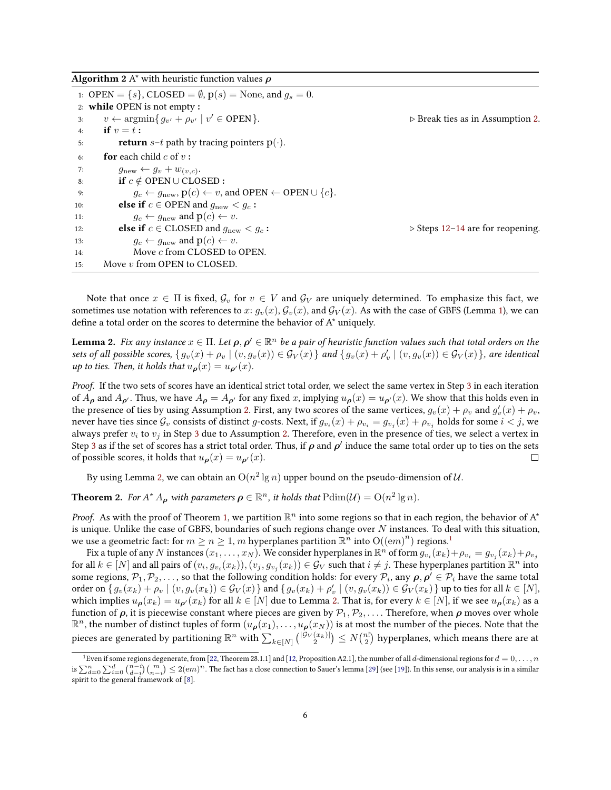<span id="page-5-0"></span>

| <b>Algorithm</b> 2 A $^*$ with heuristic function values $\rho$ |  |  |  |
|-----------------------------------------------------------------|--|--|--|
|-----------------------------------------------------------------|--|--|--|

<span id="page-5-1"></span>

|     | 1: OPEN = { $s$ }, CLOSED = $\emptyset$ , $p(s)$ = None, and $g_s = 0$ .                                |                                                 |
|-----|---------------------------------------------------------------------------------------------------------|-------------------------------------------------|
|     | 2: while OPEN is not empty:                                                                             |                                                 |
| 3:  | $v \leftarrow \operatorname{argmin} \{ g_{v'} + \rho_{v'} \mid v' \in \text{OPEN} \}.$                  | $\triangleright$ Break ties as in Assumption 2. |
| 4:  | if $v=t$ :                                                                                              |                                                 |
| 5:  | <b>return</b> $s-t$ path by tracing pointers $p(\cdot)$ .                                               |                                                 |
| 6:  | <b>for</b> each child c of $v$ :                                                                        |                                                 |
| 7:  | $g_{\text{new}} \leftarrow g_v + w_{(v,c)}.$                                                            |                                                 |
| 8:  | if $c \notin$ OPEN $\cup$ CLOSED :                                                                      |                                                 |
| 9:  | $g_c \leftarrow g_{\text{new}}, \mathbf{p}(c) \leftarrow v$ , and OPEN $\leftarrow$ OPEN $\cup \{c\}$ . |                                                 |
| 10: | <b>else if</b> $c \in$ OPEN and $q_{\text{new}} < q_c$ :                                                |                                                 |
| 11: | $g_c \leftarrow g_{\text{new}}$ and $p(c) \leftarrow v$ .                                               |                                                 |
| 12: | <b>else if</b> $c \in$ CLOSED and $q_{\text{new}} < q_c$ :                                              | $\triangleright$ Steps 12–14 are for reopening. |
| 13: | $g_c \leftarrow g_{\text{new}}$ and $p(c) \leftarrow v$ .                                               |                                                 |
| 14: | Move c from CLOSED to OPEN.                                                                             |                                                 |
| 15: | Move $v$ from OPEN to CLOSED.                                                                           |                                                 |

<span id="page-5-3"></span><span id="page-5-2"></span>Note that once  $x \in \Pi$  is fixed,  $\mathcal{G}_v$  for  $v \in V$  and  $\mathcal{G}_V$  are uniquely determined. To emphasize this fact, we sometimes use notation with references to x:  $g_v(x)$ ,  $\mathcal{G}_v(x)$ , and  $\mathcal{G}_V(x)$ . As with the case of GBFS (Lemma [1\)](#page-4-3), we can define a total order on the scores to determine the behavior of  $A^*$  uniquely.

<span id="page-5-4"></span>**Lemma 2.** Fix any instance  $x\in\Pi$ . Let  $\bm{\rho},\bm{\rho}'\in\mathbb{R}^n$  be a pair of heuristic function values such that total orders on the sets of all possible scores,  $\{g_v(x) + \rho_v \mid (v, g_v(x)) \in \mathcal{G}_V(x)\}$  and  $\{g_v(x) + \rho'_v \mid (v, g_v(x)) \in \mathcal{G}_V(x)\}$ , are identical up to ties. Then, it holds that  $u_{p}(x) = u_{p}(x)$ .

Proof. If the two sets of scores have an identical strict total order, we select the same vertex in Step [3](#page-5-1) in each iteration of  $A_{\rho}$  and  $A_{\rho'}$ . Thus, we have  $A_{\rho} = A_{\rho'}$  for any fixed x, implying  $u_{\rho}(x) = u_{\rho'}(x)$ . We show that this holds even in the presence of ties by using Assumption [2.](#page-3-0) First, any two scores of the same vertices,  $g_v(x) + \rho_v$  and  $g'_v(x) + \rho_v$ , never have ties since  $\mathcal G_v$  consists of distinct  $g$ -costs. Next, if  $g_{v_i}(x)+\rho_{v_i}=g_{v_j}(x)+\rho_{v_j}$  holds for some  $i< j,$  we always prefer  $v_i$  to  $v_j$  in Step [3](#page-5-1) due to Assumption [2.](#page-3-0) Therefore, even in the presence of ties, we select a vertex in Step [3](#page-5-1) as if the set of scores has a strict total order. Thus, if  $\rho$  and  $\rho'$  induce the same total order up to ties on the sets of possible scores, it holds that  $u_{\rho}(x) = u_{\rho}(x)$ .  $\Box$ 

By using Lemma [2,](#page-5-4) we can obtain an  $\mathrm{O}(n^2 \lg n)$  upper bound on the pseudo-dimension of  $\mathcal{U}.$ 

<span id="page-5-6"></span>**Theorem 2.** For  $A^* A_{\rho}$  with parameters  $\rho \in \mathbb{R}^n$ , it holds that  $\text{Pdim}(\mathcal{U}) = \text{O}(n^2 \lg n)$ .

*Proof.* As with the proof of Theorem [1,](#page-4-4) we partition  $\mathbb{R}^n$  into some regions so that in each region, the behavior of A\* is unique. Unlike the case of GBFS, boundaries of such regions change over  $N$  instances. To deal with this situation, we use a geometric fact: for  $m \ge n \ge 1$  $m \ge n \ge 1$ , m hyperplanes partition  $\mathbb{R}^n$  into  $\mathcal{O}((em)^n)$  regions.<sup>1</sup>

Fix a tuple of any  $N$  instances  $(x_1,\dots,x_N).$  We consider hyperplanes in  $\R^n$  of form  $g_{v_i}(x_k)+\rho_{v_i}=g_{v_j}(x_k)+\rho_{v_j}$ for all  $k\in [N]$  and all pairs of  $(v_i,g_{v_i}(x_k)),(v_j,g_{v_j}(x_k))\in \mathcal{G}_V$  such that  $i\neq j.$  These hyperplanes partition  $\mathbb{R}^n$  into some regions,  $\mathcal{P}_1, \mathcal{P}_2, \ldots$ , so that the following condition holds: for every  $\mathcal{P}_i$ , any  $\bm{\rho}, \bm{\rho}' \in \mathcal{P}_i$  have the same total order on  $\{g_v(x_k) + \rho_v \mid (v, g_v(x_k)) \in \mathcal{G}_V(x)\}$  and  $\{g_v(x_k) + \rho'_v \mid (v, g_v(x_k)) \in \mathcal{G}_V(x_k)\}$  up to ties for all  $k \in [N]$ , which implies  $u_{\rho}(x_k) = u_{\rho}(x_k)$  for all  $k \in [N]$  due to Lemma [2.](#page-5-4) That is, for every  $k \in [N]$ , if we see  $u_{\rho}(x_k)$  as a function of  $\rho$ , it is piecewise constant where pieces are given by  $\mathcal{P}_1,\mathcal{P}_2,\ldots$ . Therefore, when  $\rho$  moves over whole  $\R^n$ , the number of distinct tuples of form  $(u(\rho(x_1),\ldots,u_\rho(x_N))$  is at most the number of the pieces. Note that the pieces are generated by partitioning  $\R^n$  with  $\sum_{k\in[N]}{|G_V(x_k)|\choose 2}\le N{n!\choose 2}$  hyperplanes, which means there are at

<span id="page-5-5"></span><sup>&</sup>lt;sup>1</sup>Even if some regions degenerate, from [\[22,](#page-11-11) Theorem 28.1.1] and [\[12,](#page-11-12) Proposition A2.1], the number of all d-dimensional regions for  $d = 0, \ldots, n$ is  $\sum_{d=0}^n\sum_{i=0}^d\binom{n-i}{d-i}\binom{m}{n-i}\leq 2(em)^n.$  The fact has a close connection to Sauer's lemma [\[29\]](#page-12-8) (see [\[19\]](#page-11-13)). In this sense, our analysis is in a similar spirit to the general framework of [\[8\]](#page-11-8).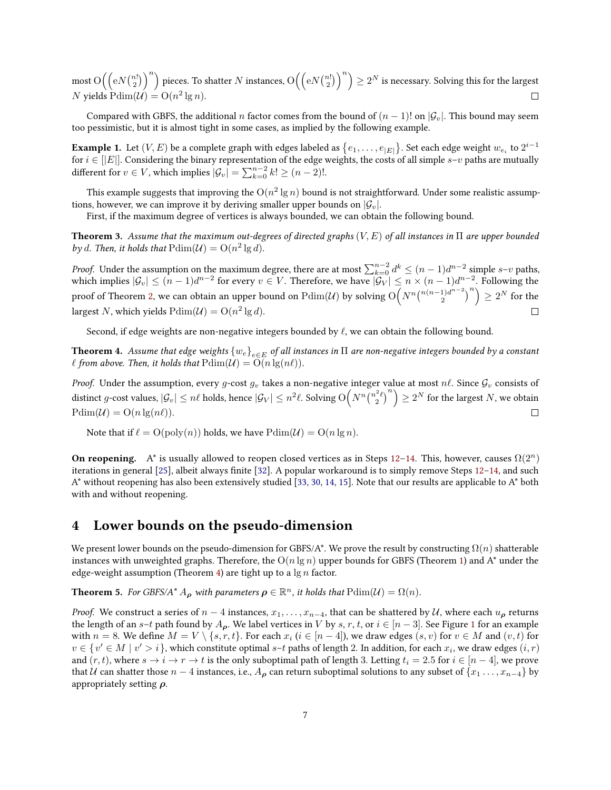most  $\mathrm{O}\Big(\Big(\mathrm{e}N\binom{n!}{2}\Big)^n\Big)$  pieces. To shatter  $N$  instances,  $\mathrm{O}\Big(\Big(\mathrm{e}N\binom{n!}{2}\Big)^n\Big)\geq 2^N$  is necessary. Solving this for the largest N yields  $Pdim(U) = O(n^2 \lg n)$ .  $\Box$ 

Compared with GBFS, the additional n factor comes from the bound of  $(n - 1)!$  on  $|\mathcal{G}_v|$ . This bound may seem too pessimistic, but it is almost tight in some cases, as implied by the following example.

<span id="page-6-2"></span>**Example 1.** Let  $(V, E)$  be a complete graph with edges labeled as  $\{e_1, \ldots, e_{|E|}\}.$  Set each edge weight  $w_{e_i}$  to  $2^{i-1}$ for  $i\in[|E|].$  Considering the binary representation of the edge weights, the costs of all simple  $s$ – $v$  paths are mutually different for  $v \in V$ , which implies  $|\mathcal{G}_v| = \sum_{k=0}^{n-2} k! \geq (n-2)!$ .

This example suggests that improving the  $\mathrm{O}(n^2 \lg n)$  bound is not straightforward. Under some realistic assumptions, however, we can improve it by deriving smaller upper bounds on  $|\mathcal{G}_v|$ .

First, if the maximum degree of vertices is always bounded, we can obtain the following bound.

**Theorem 3.** Assume that the maximum out-degrees of directed graphs  $(V, E)$  of all instances in  $\Pi$  are upper bounded by d. Then, it holds that  $Pdim(U) = O(n^2 \lg d)$ .

*Proof.* Under the assumption on the maximum degree, there are at most  $\sum_{k=0}^{n-2} d^k \le (n-1)d^{n-2}$  simple  $s-v$  paths, which implies  $|\mathcal{G}_v| \leq (n-1)d^{n-2}$  for every  $v \in V.$  Therefore, we have  $|\mathcal{G}_V| \leq n \times (n-1)d^{n-2}.$  Following the  $\binom{2}{2}^{n-2}$ <sup>n</sup> $\geq 2^N$  for the proof of Theorem [2,](#page-5-6) we can obtain an upper bound on  $\mathrm{Pdim}(\mathcal{U})$  by solving  $\mathrm{O}\Big(N^n{n(n-1)d^{n-2}}$ largest N, which yields  $Pdim(U) = O(n^2 \lg d)$ .  $\Box$ 

Second, if edge weights are non-negative integers bounded by  $\ell$ , we can obtain the following bound.

<span id="page-6-1"></span>**Theorem 4.** Assume that edge weights  $\{w_e\}_{e\in E}$  of all instances in  $\Pi$  are non-negative integers bounded by a constant  $\ell$  from above. Then, it holds that  $\text{Pdim}(\mathcal{U}) = \text{O}(n \lg(n\ell)).$ 

*Proof.* Under the assumption, every g-cost  $g_v$  takes a non-negative integer value at most  $n\ell$ . Since  $\mathcal{G}_v$  consists of distinct g-cost values,  $|\mathcal{G}_v| \le n\ell$  holds, hence  $|\mathcal{G}_V| \le n^2\ell$ . Solving  $O(N^n{n^2\ell \choose 2}^n) \ge 2^N$  for the largest N, we obtain  $Pdim(\mathcal{U}) = O(n \lg(n\ell)).$  $\Box$ 

Note that if  $\ell = O(poly(n))$  holds, we have  $Pdim(\mathcal{U}) = O(n \lg n)$ .

**On reopening.** A<sup>\*</sup> is usually allowed to reopen closed vertices as in Steps [12](#page-5-2)[–14.](#page-5-3) This, however, causes  $\Omega(2^n)$ iterations in general [\[25\]](#page-11-14), albeit always finite [\[32\]](#page-12-9). A popular workaround is to simply remove Steps [12](#page-5-2)[–14,](#page-5-3) and such  $A^*$  without reopening has also been extensively studied [\[33,](#page-12-3) [30,](#page-12-10) [14,](#page-11-15) [15\]](#page-11-16). Note that our results are applicable to  $A^*$  both with and without reopening.

## <span id="page-6-0"></span>4 Lower bounds on the pseudo-dimension

We present lower bounds on the pseudo-dimension for GBFS/A\*. We prove the result by constructing  $\Omega(n)$  shatterable instances with unweighted graphs. Therefore, the  $O(n \lg n)$  upper bounds for GBFS (Theorem [1\)](#page-4-4) and A<sup>\*</sup> under the edge-weight assumption (Theorem [4\)](#page-6-1) are tight up to a  $\lg n$  factor.

<span id="page-6-3"></span>**Theorem 5.** For GBFS/A<sup>\*</sup>  $A_{\rho}$  with parameters  $\rho \in \mathbb{R}^n$ , it holds that  $\text{Pdim}(\mathcal{U}) = \Omega(n)$ .

*Proof.* We construct a series of  $n-4$  instances,  $x_1, \ldots, x_{n-4}$ , that can be shattered by U, where each  $u_p$  returns the length of an s–t path found by  $A_{\rho}$ . We label vertices in V by s, r, t, or  $i \in [n-3]$ . See Figure [1](#page-7-0) for an example with  $n=8.$  We define  $M=V\setminus\{s, r, t\}.$  For each  $x_i$   $(i\in [n-4]),$  we draw edges  $(s, v)$  for  $v\in M$  and  $(v, t)$  for  $v \in \{v' \in M \mid v' > i\}$ , which constitute optimal  $s-t$  paths of length 2. In addition, for each  $x_i$ , we draw edges  $(i, r)$ and  $(r, t)$ , where  $s \to i \to r \to t$  is the only suboptimal path of length 3. Letting  $t_i = 2.5$  for  $i \in [n-4]$ , we prove that U can shatter those  $n-4$  instances, i.e.,  $A_{\rho}$  can return suboptimal solutions to any subset of  $\{x_1, \ldots, x_{n-4}\}$  by appropriately setting  $\rho$ .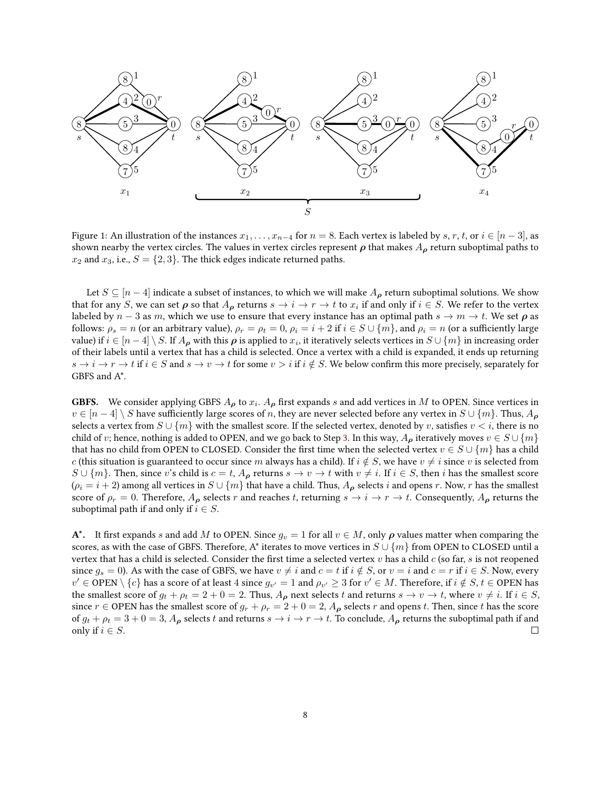<span id="page-7-0"></span>

Figure 1: An illustration of the instances  $x_1, \ldots, x_{n-4}$  for  $n = 8$ . Each vertex is labeled by s, r, t, or  $i \in [n-3]$ , as shown nearby the vertex circles. The values in vertex circles represent  $\rho$  that makes  $A_\rho$  return suboptimal paths to  $x_2$  and  $x_3$ , i.e.,  $S = \{2, 3\}$ . The thick edges indicate returned paths.

Let  $S \subseteq [n-4]$  indicate a subset of instances, to which we will make  $A_{\rho}$  return suboptimal solutions. We show that for any S, we can set  $\rho$  so that  $A_\rho$  returns  $s\to i\to r\to t$  to  $x_i$  if and only if  $i\in S$ . We refer to the vertex labeled by  $n-3$  as m, which we use to ensure that every instance has an optimal path  $s \to m \to t$ . We set  $\rho$  as follows:  $\rho_s = n$  (or an arbitrary value),  $\rho_r = \rho_t = 0$ ,  $\rho_i = i + 2$  if  $i \in S \cup \{m\}$ , and  $\rho_i = n$  (or a sufficiently large value) if  $i\in[n-4]\setminus S.$  If  $A_{\bm{\rho}}$  with this  $\bm{\rho}$  is applied to  $x_i$ , it iteratively selects vertices in  $S\cup\{m\}$  in increasing order of their labels until a vertex that has a child is selected. Once a vertex with a child is expanded, it ends up returning  $s \to i \to r \to t$  if  $i \in S$  and  $s \to v \to t$  for some  $v > i$  if  $i \notin S$ . We below confirm this more precisely, separately for GBFS and A\*.

**GBFS.** We consider applying GBFS  $A_{\rho}$  to  $x_i$ .  $A_{\rho}$  first expands s and add vertices in M to OPEN. Since vertices in  $v \in [n-4] \setminus S$  have sufficiently large scores of n, they are never selected before any vertex in  $S \cup \{m\}$ . Thus,  $A_{\rho}$ selects a vertex from  $S \cup \{m\}$  with the smallest score. If the selected vertex, denoted by v, satisfies  $v < i$ , there is no child of v; hence, nothing is added to OPEN, and we go back to Step [3.](#page-4-2) In this way,  $A_{\rho}$  iteratively moves  $v \in S \cup \{m\}$ that has no child from OPEN to CLOSED. Consider the first time when the selected vertex  $v \in S \cup \{m\}$  has a child c (this situation is guaranteed to occur since m always has a child). If  $i \notin S$ , we have  $v \neq i$  since v is selected from  $S \cup \{m\}$ . Then, since v's child is  $c = t$ ,  $A_{\rho}$  returns  $s \to v \to t$  with  $v \neq i$ . If  $i \in S$ , then i has the smallest score  $(\rho_i = i + 2)$  among all vertices in  $S \cup \{m\}$  that have a child. Thus,  $A_\rho$  selects i and opens r. Now, r has the smallest score of  $\rho_r = 0$ . Therefore,  $A_\rho$  selects r and reaches t, returning  $s \to i \to r \to t$ . Consequently,  $A_\rho$  returns the suboptimal path if and only if  $i \in S$ .

A\*. It first expands s and add M to OPEN. Since  $g_v = 1$  for all  $v \in M$ , only  $\rho$  values matter when comparing the scores, as with the case of GBFS. Therefore, A\* iterates to move vertices in  $S \cup \{m\}$  from OPEN to CLOSED until a vertex that has a child is selected. Consider the first time a selected vertex  $v$  has a child  $c$  (so far,  $s$  is not reopened since  $g_s = 0$ ). As with the case of GBFS, we have  $v \neq i$  and  $c = t$  if  $i \notin S$ , or  $v = i$  and  $c = r$  if  $i \in S$ . Now, every  $v'\in {\rm OPER}\setminus\{c\}$  has a score of at least  $4$  since  $g_{v'}=1$  and  $\rho_{v'}\geq 3$  for  $v'\in M.$  Therefore, if  $i\notin S,$   $t\in {\rm OPERN}$  has the smallest score of  $g_t + \rho_t = 2 + 0 = 2$ . Thus,  $A_{\rho}$  next selects t and returns  $s \to v \to t$ , where  $v \neq i$ . If  $i \in S$ , since  $r \in$  OPEN has the smallest score of  $g_r + \rho_r = 2 + 0 = 2$ ,  $A_\rho$  selects r and opens t. Then, since t has the score of  $g_t + \rho_t = 3 + 0 = 3$ ,  $A_\rho$  selects t and returns  $s \to i \to r \to t$ . To conclude,  $A_\rho$  returns the suboptimal path if and only if  $i \in S$ .  $\Box$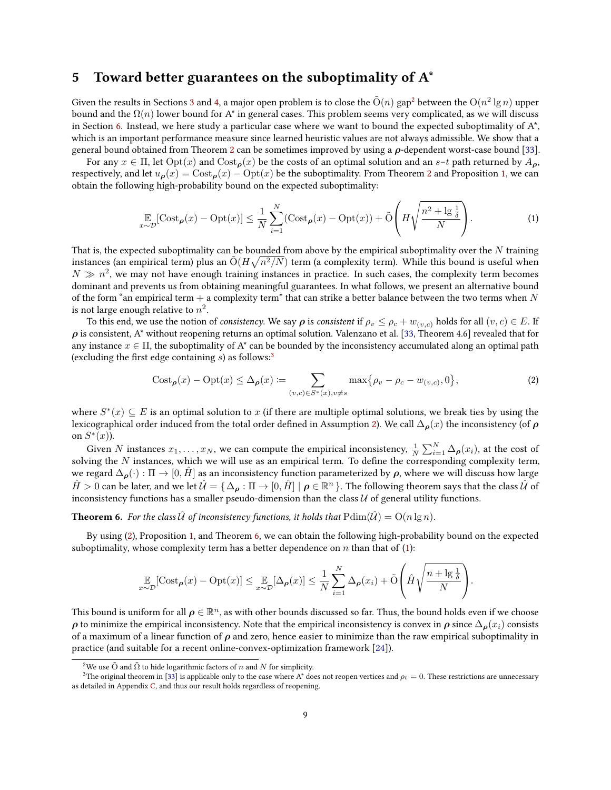## <span id="page-8-0"></span>5 Toward better guarantees on the suboptimality of  $A^*$

Given the results in Sections [3](#page-4-0) and [4,](#page-6-0) a major open problem is to close the  $\tilde{O}(n)$  gap $^2$  $^2$  between the  $O(n^2\lg n)$  upper bound and the  $\Omega(n)$  lower bound for A<sup>\*</sup> in general cases. This problem seems very complicated, as we will discuss in Section [6.](#page-10-5) Instead, we here study a particular case where we want to bound the expected suboptimality of  $A^*$ , which is an important performance measure since learned heuristic values are not always admissible. We show that a general bound obtained from Theorem [2](#page-5-6) can be sometimes improved by using a  $\rho$ -dependent worst-case bound [\[33\]](#page-12-3).

For any  $x \in \Pi$ , let  $Opt(x)$  and  $Cost_{\rho}(x)$  be the costs of an optimal solution and an s–t path returned by  $A_{\rho}$ , respectively, and let  $u_{\rho}(x) = \text{Cost}_{\rho}(x) - \text{Opt}(x)$  be the suboptimality. From Theorem [2](#page-5-6) and Proposition [1,](#page-2-0) we can obtain the following high-probability bound on the expected suboptimality:

<span id="page-8-5"></span>
$$
\mathbb{E}_{x \sim \mathcal{D}}[\text{Cost}_{\pmb{\rho}}(x) - \text{Opt}(x)] \le \frac{1}{N} \sum_{i=1}^{N} (\text{Cost}_{\pmb{\rho}}(x) - \text{Opt}(x)) + \tilde{\text{O}}\left(H\sqrt{\frac{n^2 + \lg\frac{1}{\delta}}{N}}\right). \tag{1}
$$

That is, the expected suboptimality can be bounded from above by the empirical suboptimality over the  $N$  training instances (an empirical term) plus an  $\tilde{O}(H\sqrt{n^2/N})$  term (a complexity term). While this bound is useful when  $N \gg n^2$ , we may not have enough training instances in practice. In such cases, the complexity term becomes dominant and prevents us from obtaining meaningful guarantees. In what follows, we present an alternative bound of the form "an empirical term  $+$  a complexity term" that can strike a better balance between the two terms when N is not large enough relative to  $n^2.$ 

To this end, we use the notion of consistency. We say  $\rho$  is consistent if  $\rho_v \le \rho_c + w_{(v,c)}$  holds for all  $(v,c) \in E$ . If  $\rho$  is consistent, A\* without reopening returns an optimal solution. Valenzano et al. [\[33,](#page-12-3) Theorem 4.6] revealed that for any instance  $x \in \Pi$ , the suboptimality of A<sup>\*</sup> can be bounded by the inconsistency accumulated along an optimal path (excluding the first edge containing  $s$ ) as follows:<sup>[3](#page-8-2)</sup>

<span id="page-8-3"></span>
$$
Cost_{\rho}(x) - Opt(x) \leq \Delta_{\rho}(x) := \sum_{(v,c) \in S^*(x), v \neq s} \max\{\rho_v - \rho_c - w_{(v,c)}, 0\},\tag{2}
$$

where  $S^*(x) \subseteq E$  is an optimal solution to  $x$  (if there are multiple optimal solutions, we break ties by using the lexicographical order induced from the total order defined in Assumption [2\)](#page-3-0). We call  $\Delta_{\rho}(x)$  the inconsistency (of  $\rho$ on  $S^*(x)$ ).

Given N instances  $x_1, \ldots, x_N$ , we can compute the empirical inconsistency,  $\frac{1}{N} \sum_{i=1}^N \Delta_{\bm{\rho}}(x_i)$ , at the cost of solving the  $N$  instances, which we will use as an empirical term. To define the corresponding complexity term, we regard  $\Delta_{\rho}(\cdot): \Pi \to [0, H]$  as an inconsistency function parameterized by  $\rho$ , where we will discuss how large  $\hat{H}>0$  can be later, and we let  $\hat{\mathcal{U}}=\set{\Delta_{\bm\rho}:\Pi\to [0,\hat{H}]|\bm\rho\in\mathbb{R}^n}$  . The following theorem says that the class  $\hat{\mathcal{U}}$  of inconsistency functions has a smaller pseudo-dimension than the class  $U$  of general utility functions.

<span id="page-8-4"></span>**Theorem 6.** For the class  $\hat{U}$  of inconsistency functions, it holds that  $Pdim(\hat{U}) = O(n \lg n)$ .

By using [\(2\)](#page-8-3), Proposition [1,](#page-2-0) and Theorem [6,](#page-8-4) we can obtain the following high-probability bound on the expected suboptimality, whose complexity term has a better dependence on  $n$  than that of [\(1\)](#page-8-5):

$$
\mathop{\mathbb{E}}_{x \sim \mathcal{D}}[\text{Cost}_{\pmb{\rho}}(x) - \text{Opt}(x)] \leq \mathop{\mathbb{E}}_{x \sim \mathcal{D}}[\Delta_{\pmb{\rho}}(x)] \leq \frac{1}{N} \sum_{i=1}^{N} \Delta_{\pmb{\rho}}(x_i) + \tilde{\mathcal{O}}\left(\hat{H}\sqrt{\frac{n + \lg\frac{1}{\delta}}{N}}\right).
$$

This bound is uniform for all  $\bm{\rho} \in \mathbb{R}^n$ , as with other bounds discussed so far. Thus, the bound holds even if we choose  $\rho$  to minimize the empirical inconsistency. Note that the empirical inconsistency is convex in  $\rho$  since  $\Delta_{\rho}(x_i)$  consists of a maximum of a linear function of  $\rho$  and zero, hence easier to minimize than the raw empirical suboptimality in practice (and suitable for a recent online-convex-optimization framework [\[24\]](#page-11-17)).

<span id="page-8-2"></span><span id="page-8-1"></span><sup>&</sup>lt;sup>2</sup>We use  $\tilde{O}$  and  $\tilde{\Omega}$  to hide logarithmic factors of n and N for simplicity.

<sup>&</sup>lt;sup>3</sup>The original theorem in [\[33\]](#page-12-3) is applicable only to the case where A<sup>\*</sup> does not reopen vertices and  $\rho_t = 0$ . These restrictions are unnecessary as detailed in Appendix [C,](#page-13-2) and thus our result holds regardless of reopening.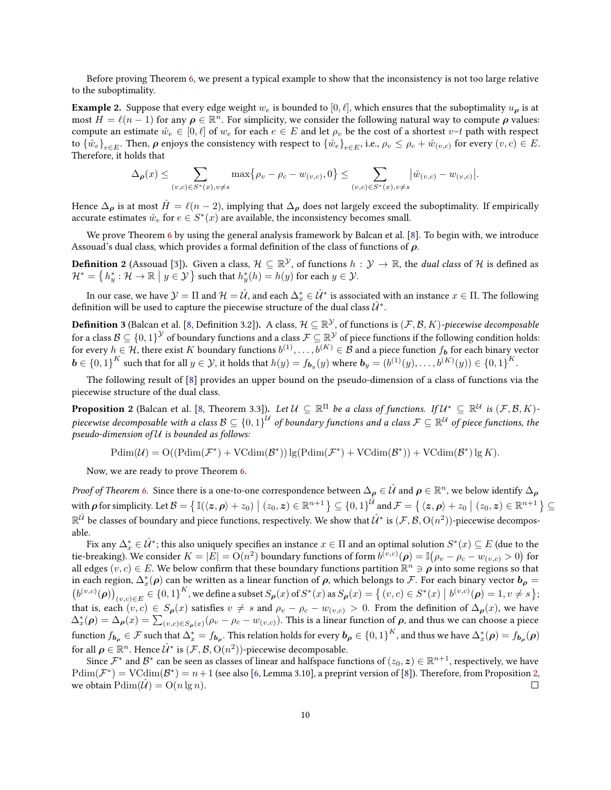Before proving Theorem [6,](#page-8-4) we present a typical example to show that the inconsistency is not too large relative to the suboptimality.

**Example 2.** Suppose that every edge weight  $w_e$  is bounded to [0,  $\ell$ ], which ensures that the suboptimality  $u_o$  is at most  $\bar{H} = \ell(n-1)$  for any  $\rho \in \mathbb{R}^n$ . For simplicity, we consider the following natural way to compute  $\rho$  values: compute an estimate  $\hat{w}_e \in [0,\ell]$  of  $w_e$  for each  $e \in E$  and let  $\rho_v$  be the cost of a shortest  $v-t$  path with respect to  $\{\hat{w}_e\}_{e\in E}$ . Then,  $\bm{\rho}$  enjoys the consistency with respect to  $\{\hat{w}_e\}_{e\in E}$ , i.e.,  $\rho_v\leq \rho_c+\hat{w}_{(v,c)}$  for every  $(v,c)\in E$ . Therefore, it holds that

$$
\Delta_{\rho}(x) \leq \sum_{(v,c)\in S^*(x), v\neq s} \max\{\rho_v - \rho_c - w_{(v,c)}, 0\} \leq \sum_{(v,c)\in S^*(x), v\neq s} |\hat{w}_{(v,c)} - w_{(v,c)}|.
$$

Hence  $\Delta_{\rho}$  is at most  $\hat{H} = \ell(n-2)$ , implying that  $\Delta_{\rho}$  does not largely exceed the suboptimality. If empirically accurate estimates  $\hat{w}_e$  for  $e \in S^*(x)$  are available, the inconsistency becomes small.

We prove Theorem [6](#page-8-4) by using the general analysis framework by Balcan et al. [\[8\]](#page-11-8). To begin with, we introduce Assouad's dual class, which provides a formal definition of the class of functions of  $\rho$ .

**Definition 2** (Assouad [\[3\]](#page-10-6)). Given a class,  $\mathcal{H} \subseteq \mathbb{R}^{\mathcal{Y}}$ , of functions  $h: \mathcal{Y} \to \mathbb{R}$ , the *dual class* of  $\mathcal H$  is defined as  $\mathcal{H}^* = \left\{ h^*_y : \mathcal{H} \to \mathbb{R} \mid y \in \mathcal{Y} \right\}$  such that  $h^*_y(h) = h(y)$  for each  $y \in \mathcal{Y}$ .

In our case, we have  $\mathcal{Y}=\Pi$  and  $\mathcal{H}=\hat{\mathcal{U}},$  and each  $\Delta_x^*\in\hat{\mathcal{U}}^*$  is associated with an instance  $x\in\Pi.$  The following definition will be used to capture the piecewise structure of the dual class  $\hat{\mathcal{U}}^*.$ 

**Definition 3** (Balcan et al. [\[8,](#page-11-8) Definition 3.2]). A class,  $\mathcal{H} \subseteq \mathbb{R}^{\mathcal{Y}}$ , of functions is  $(\mathcal{F},\mathcal{B},K)$ -piecewise decomposable for a class  $\mathcal{B}\subseteq\{0,1\}^\mathcal{Y}$  of boundary functions and a class  $\mathcal{F}\subseteq\mathbb{R}^\mathcal{Y}$  of piece functions if the following condition holds: for every  $h\in\mathcal{H}$ , there exist  $K$  boundary functions  $b^{(1)},\ldots,b^{(K)}\in\mathcal{B}$  and a piece function  $f_{\bm{b}}$  for each binary vector  $\boldsymbol{b} \in \left\{0,1\right\}^{K}$  such that for all  $y \in \mathcal{Y}$ , it holds that  $h(y) = f_{\boldsymbol{b}_y}(y)$  where  $\boldsymbol{b}_y = (b^{(1)}(y),\ldots,b^{(K)}(y)) \in \left\{0,1\right\}^{K}.$ 

The following result of [\[8\]](#page-11-8) provides an upper bound on the pseudo-dimension of a class of functions via the piecewise structure of the dual class.

<span id="page-9-0"></span>**Proposition 2** (Balcan et al. [\[8,](#page-11-8) Theorem 3.3]). *Let*  $\mathcal{U} \subseteq \mathbb{R}^{\Pi}$  *be a class of functions. If*  $\mathcal{U}^* \subseteq \mathbb{R}^{\mathcal{U}}$  *is*  $(\mathcal{F}, \mathcal{B}, K)$ piecewise decomposable with a class  $\mathcal{B}\subseteq\{0,1\}^{\mathcal{U}}$  of boundary functions and a class  $\mathcal{F}\subseteq\mathbb{R}^{\mathcal{U}}$  of piece functions, the pseudo-dimension of U is bounded as follows:

 $Pdim(\mathcal{U}) = O((Pdim(\mathcal{F}^*) + VCdim(\mathcal{B}^*))\lg(Pdim(\mathcal{F}^*) + VCdim(\mathcal{B}^*)) + VCdim(\mathcal{B}^*)\lg K).$ 

Now, we are ready to prove Theorem [6.](#page-8-4)

*Proof of Theorem [6.](#page-8-4)* Since there is a one-to-one correspondence between  $\Delta_{\bm\rho}\in\hat{\cal U}$  and  $\bm\rho\in\mathbb{R}^n$ , we below identify  $\Delta_{\bm\rho}$ with  $\rho$  for simplicity. Let  $\mathcal{B} = \left\{ \mathbb{I}(\langle z, \rho \rangle + z_0) \mid (z_0, z) \in \mathbb{R}^{n+1} \right\} \subseteq \{0, 1\}^{\hat{\mathcal{U}}}$  and  $\mathcal{F} = \left\{ \langle z, \rho \rangle + z_0 \mid (z_0, z) \in \mathbb{R}^{n+1} \right\} \subseteq$  $\R^{\hat U}$  be classes of boundary and piece functions, respectively. We show that  $\hat{\cal U}^*$  is  $({\cal F},{\cal B},{\rm O}(n^2))$ -piecewise decomposable.

Fix any  $\Delta_x^*\in \hat{\mathcal{U}}^*;$  this also uniquely specifies an instance  $x\in \Pi$  and an optimal solution  $S^*(x)\subseteq E$  (due to the tie-breaking). We consider  $K=|E|=\mathrm{O}(n^2)$  boundary functions of form  $b^{\varepsilon v,c)}(\bm{\rho})=\mathbb{I}\big(\rho_v-\rho_c-w_{(v,c)}>0\big)$  for all edges  $(v, c) \in E$ . We below confirm that these boundary functions partition  $\mathbb{R}^n \ni \rho$  into some regions so that in each region,  $\Delta_x^*(\bm{\rho})$  can be written as a linear function of  $\bm{\rho}$ , which belongs to  $\bm{\mathcal{F}}$ . For each binary vector  $\bm{b}_{\bm{\rho}}=$  $\left(b^{(v,c)}(\boldsymbol{\rho})\right)_{(v,c)\in E}\in\{0,1\}^K,$  we define a subset  $S_{\boldsymbol{\rho}}(x)$  of  $S^*(x)$  as  $S_{\boldsymbol{\rho}}(x)=\{(v,c)\in S^*(x)\bigm| b^{(v,c)}(\boldsymbol{\rho})=1, v\neq s\};$ that is, each  $(v, c) \in S_{\rho}(x)$  satisfies  $v \neq s$  and  $\rho_v - \rho_c - w_{(v,c)} > 0$ . From the definition of  $\Delta_{\rho}(x)$ , we have  $\Delta_x^*(\rho) = \Delta_\rho(x) = \sum_{(v,c) \in S_\rho(x)} (\rho_v - \rho_c - w_{(v,c)})$ . This is a linear function of  $\rho$ , and thus we can choose a piece function  $f_{\bm{b_\rho}}\in\mathcal{F}$  such that  $\Delta_x^*=f_{\bm{b_\rho}}.$  This relation holds for every  $\bm{b_\rho}\in\{0,1\}^K,$  and thus we have  $\Delta_x^*(\bm{\rho})=f_{\bm{b_\rho}}(\bm{\rho})$ for all  $\boldsymbol{\rho} \in \mathbb{R}^n$ . Hence  $\hat{\mathcal{U}}^*$  is  $(\mathcal{F}, \mathcal{B}, \mathrm{O}(n^2))$ -piecewise decomposable.

Since  $\mathcal{F}^*$  and  $\mathcal{B}^*$  can be seen as classes of linear and halfspace functions of  $(z_0, z) \in \mathbb{R}^{n+1}$ , respectively, we have  $\text{Pdim}(\mathcal{F}^*)=\text{VCdim}(\mathcal{B}^*)=n+1$  (see also [\[6,](#page-10-7) Lemma 3.10], a preprint version of [\[8\]](#page-11-8)). Therefore, from Proposition [2,](#page-9-0) we obtain  $Pdim(\mathcal{U}) = O(n \lg n)$ .  $\Box$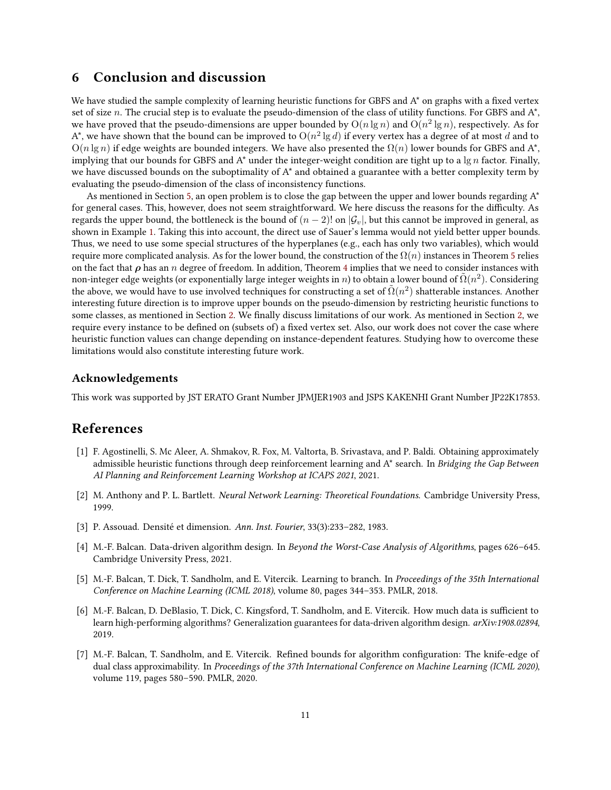## <span id="page-10-5"></span>6 Conclusion and discussion

We have studied the sample complexity of learning heuristic functions for GBFS and  $A^*$  on graphs with a fixed vertex set of size n. The crucial step is to evaluate the pseudo-dimension of the class of utility functions. For GBFS and  $A^*$ , we have proved that the pseudo-dimensions are upper bounded by  $\mathrm{O}(n \lg n)$  and  $\mathrm{O}(n^2 \lg n)$ , respectively. As for A\*, we have shown that the bound can be improved to  $\O(n^2\lg d)$  if every vertex has a degree of at most  $d$  and to  $O(n \lg n)$  if edge weights are bounded integers. We have also presented the  $\Omega(n)$  lower bounds for GBFS and A\*, implying that our bounds for GBFS and A<sup>\*</sup> under the integer-weight condition are tight up to a  $\lg n$  factor. Finally, we have discussed bounds on the suboptimality of  $A^*$  and obtained a guarantee with a better complexity term by evaluating the pseudo-dimension of the class of inconsistency functions.

As mentioned in Section [5,](#page-8-0) an open problem is to close the gap between the upper and lower bounds regarding A\* for general cases. This, however, does not seem straightforward. We here discuss the reasons for the difficulty. As regards the upper bound, the bottleneck is the bound of  $(n-2)!$  on  $|\mathcal{G}_v|$ , but this cannot be improved in general, as shown in Example [1.](#page-6-2) Taking this into account, the direct use of Sauer's lemma would not yield better upper bounds. Thus, we need to use some special structures of the hyperplanes (e.g., each has only two variables), which would require more complicated analysis. As for the lower bound, the construction of the  $\Omega(n)$  instances in Theorem [5](#page-6-3) relies on the fact that  $\rho$  has an n degree of freedom. In addition, Theorem [4](#page-6-1) implies that we need to consider instances with non-integer edge weights (or exponentially large integer weights in n) to obtain a lower bound of  $\tilde{\Omega}(n^2)$ . Considering the above, we would have to use involved techniques for constructing a set of  $\tilde{\Omega}(n^2)$  shatterable instances. Another interesting future direction is to improve upper bounds on the pseudo-dimension by restricting heuristic functions to some classes, as mentioned in Section [2.](#page-2-1) We finally discuss limitations of our work. As mentioned in Section [2,](#page-2-1) we require every instance to be defined on (subsets of) a fixed vertex set. Also, our work does not cover the case where heuristic function values can change depending on instance-dependent features. Studying how to overcome these limitations would also constitute interesting future work.

#### Acknowledgements

This work was supported by JST ERATO Grant Number JPMJER1903 and JSPS KAKENHI Grant Number JP22K17853.

### References

- <span id="page-10-0"></span>[1] F. Agostinelli, S. Mc Aleer, A. Shmakov, R. Fox, M. Valtorta, B. Srivastava, and P. Baldi. Obtaining approximately admissible heuristic functions through deep reinforcement learning and A\* search. In Bridging the Gap Between AI Planning and Reinforcement Learning Workshop at ICAPS 2021, 2021.
- <span id="page-10-4"></span>[2] M. Anthony and P. L. Bartlett. Neural Network Learning: Theoretical Foundations. Cambridge University Press, 1999.
- <span id="page-10-6"></span>[3] P. Assouad. Densité et dimension. Ann. Inst. Fourier, 33(3):233–282, 1983.
- <span id="page-10-1"></span>[4] M.-F. Balcan. Data-driven algorithm design. In Beyond the Worst-Case Analysis of Algorithms, pages 626–645. Cambridge University Press, 2021.
- <span id="page-10-2"></span>[5] M.-F. Balcan, T. Dick, T. Sandholm, and E. Vitercik. Learning to branch. In Proceedings of the 35th International Conference on Machine Learning (ICML 2018), volume 80, pages 344–353. PMLR, 2018.
- <span id="page-10-7"></span>[6] M.-F. Balcan, D. DeBlasio, T. Dick, C. Kingsford, T. Sandholm, and E. Vitercik. How much data is sufficient to learn high-performing algorithms? Generalization guarantees for data-driven algorithm design. arXiv:1908.02894, 2019.
- <span id="page-10-3"></span>[7] M.-F. Balcan, T. Sandholm, and E. Vitercik. Refined bounds for algorithm configuration: The knife-edge of dual class approximability. In Proceedings of the 37th International Conference on Machine Learning (ICML 2020), volume 119, pages 580–590. PMLR, 2020.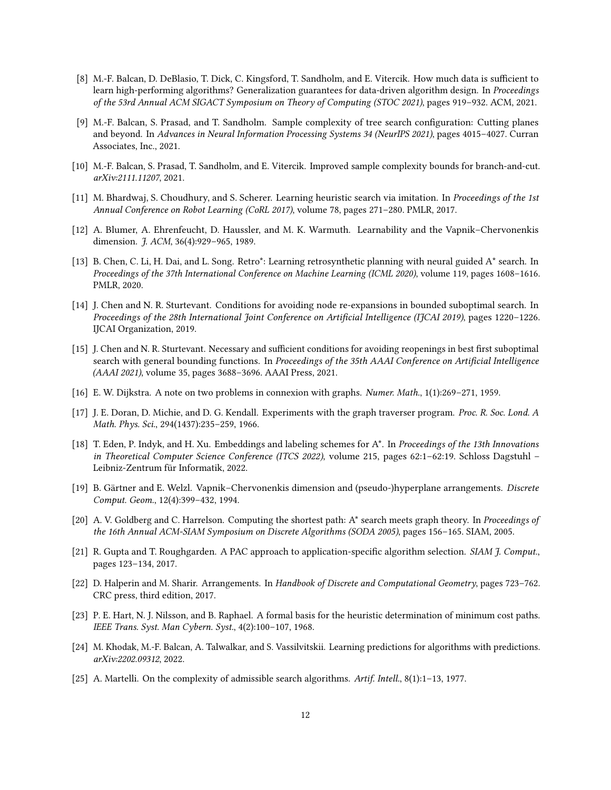- <span id="page-11-8"></span>[8] M.-F. Balcan, D. DeBlasio, T. Dick, C. Kingsford, T. Sandholm, and E. Vitercik. How much data is sufficient to learn high-performing algorithms? Generalization guarantees for data-driven algorithm design. In Proceedings of the 53rd Annual ACM SIGACT Symposium on Theory of Computing (STOC 2021), pages 919–932. ACM, 2021.
- <span id="page-11-6"></span>[9] M.-F. Balcan, S. Prasad, and T. Sandholm. Sample complexity of tree search configuration: Cutting planes and beyond. In Advances in Neural Information Processing Systems 34 (NeurIPS 2021), pages 4015–4027. Curran Associates, Inc., 2021.
- <span id="page-11-7"></span>[10] M.-F. Balcan, S. Prasad, T. Sandholm, and E. Vitercik. Improved sample complexity bounds for branch-and-cut. arXiv:2111.11207, 2021.
- <span id="page-11-3"></span>[11] M. Bhardwaj, S. Choudhury, and S. Scherer. Learning heuristic search via imitation. In Proceedings of the 1st Annual Conference on Robot Learning (CoRL 2017), volume 78, pages 271–280. PMLR, 2017.
- <span id="page-11-12"></span>[12] A. Blumer, A. Ehrenfeucht, D. Haussler, and M. K. Warmuth. Learnability and the Vapnik–Chervonenkis dimension. *J. ACM*, 36(4):929-965, 1989.
- <span id="page-11-4"></span>[13] B. Chen, C. Li, H. Dai, and L. Song. Retro\*: Learning retrosynthetic planning with neural guided A\* search. In Proceedings of the 37th International Conference on Machine Learning (ICML 2020), volume 119, pages 1608–1616. PMLR, 2020.
- <span id="page-11-15"></span>[14] J. Chen and N. R. Sturtevant. Conditions for avoiding node re-expansions in bounded suboptimal search. In Proceedings of the 28th International Joint Conference on Artificial Intelligence (IJCAI 2019), pages 1220-1226. IJCAI Organization, 2019.
- <span id="page-11-16"></span>[15] J. Chen and N. R. Sturtevant. Necessary and sufficient conditions for avoiding reopenings in best first suboptimal search with general bounding functions. In Proceedings of the 35th AAAI Conference on Artificial Intelligence (AAAI 2021), volume 35, pages 3688–3696. AAAI Press, 2021.
- <span id="page-11-0"></span>[16] E. W. Dijkstra. A note on two problems in connexion with graphs. Numer. Math., 1(1):269–271, 1959.
- <span id="page-11-1"></span>[17] J. E. Doran, D. Michie, and D. G. Kendall. Experiments with the graph traverser program. Proc. R. Soc. Lond. A Math. Phys. Sci., 294(1437):235–259, 1966.
- <span id="page-11-9"></span>[18] T. Eden, P. Indyk, and H. Xu. Embeddings and labeling schemes for A\*. In Proceedings of the 13th Innovations in Theoretical Computer Science Conference (ITCS 2022), volume 215, pages 62:1–62:19. Schloss Dagstuhl – Leibniz-Zentrum für Informatik, 2022.
- <span id="page-11-13"></span>[19] B. Gärtner and E. Welzl. Vapnik–Chervonenkis dimension and (pseudo-)hyperplane arrangements. Discrete Comput. Geom., 12(4):399–432, 1994.
- <span id="page-11-10"></span>[20] A. V. Goldberg and C. Harrelson. Computing the shortest path: A\* search meets graph theory. In Proceedings of the 16th Annual ACM-SIAM Symposium on Discrete Algorithms (SODA 2005), pages 156–165. SIAM, 2005.
- <span id="page-11-5"></span>[21] R. Gupta and T. Roughgarden. A PAC approach to application-specific algorithm selection. SIAM J. Comput., pages 123–134, 2017.
- <span id="page-11-11"></span>[22] D. Halperin and M. Sharir. Arrangements. In Handbook of Discrete and Computational Geometry, pages 723–762. CRC press, third edition, 2017.
- <span id="page-11-2"></span>[23] P. E. Hart, N. J. Nilsson, and B. Raphael. A formal basis for the heuristic determination of minimum cost paths. IEEE Trans. Syst. Man Cybern. Syst., 4(2):100–107, 1968.
- <span id="page-11-17"></span>[24] M. Khodak, M.-F. Balcan, A. Talwalkar, and S. Vassilvitskii. Learning predictions for algorithms with predictions. arXiv:2202.09312, 2022.
- <span id="page-11-14"></span>[25] A. Martelli. On the complexity of admissible search algorithms. Artif. Intell., 8(1):1–13, 1977.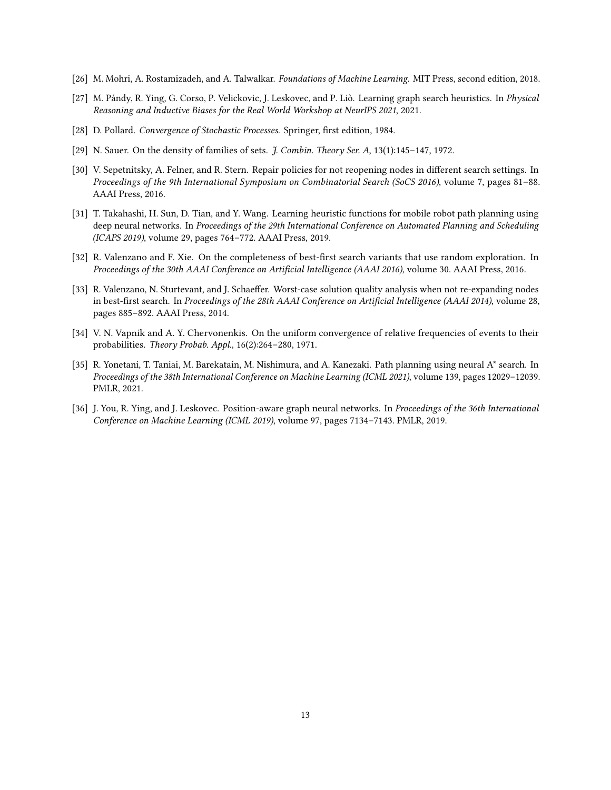- <span id="page-12-6"></span>[26] M. Mohri, A. Rostamizadeh, and A. Talwalkar. Foundations of Machine Learning. MIT Press, second edition, 2018.
- <span id="page-12-1"></span>[27] M. Pándy, R. Ying, G. Corso, P. Velickovic, J. Leskovec, and P. Liò. Learning graph search heuristics. In Physical Reasoning and Inductive Biases for the Real World Workshop at NeurIPS 2021, 2021.
- <span id="page-12-4"></span>[28] D. Pollard. Convergence of Stochastic Processes. Springer, first edition, 1984.
- <span id="page-12-8"></span>[29] N. Sauer. On the density of families of sets. J. Combin. Theory Ser. A, 13(1):145–147, 1972.
- <span id="page-12-10"></span>[30] V. Sepetnitsky, A. Felner, and R. Stern. Repair policies for not reopening nodes in different search settings. In Proceedings of the 9th International Symposium on Combinatorial Search (SoCS 2016), volume 7, pages 81–88. AAAI Press, 2016.
- <span id="page-12-0"></span>[31] T. Takahashi, H. Sun, D. Tian, and Y. Wang. Learning heuristic functions for mobile robot path planning using deep neural networks. In Proceedings of the 29th International Conference on Automated Planning and Scheduling (ICAPS 2019), volume 29, pages 764–772. AAAI Press, 2019.
- <span id="page-12-9"></span>[32] R. Valenzano and F. Xie. On the completeness of best-first search variants that use random exploration. In Proceedings of the 30th AAAI Conference on Artificial Intelligence (AAAI 2016), volume 30. AAAI Press, 2016.
- <span id="page-12-3"></span>[33] R. Valenzano, N. Sturtevant, and J. Schaeffer. Worst-case solution quality analysis when not re-expanding nodes in best-first search. In Proceedings of the 28th AAAI Conference on Artificial Intelligence (AAAI 2014), volume 28, pages 885–892. AAAI Press, 2014.
- <span id="page-12-5"></span>[34] V. N. Vapnik and A. Y. Chervonenkis. On the uniform convergence of relative frequencies of events to their probabilities. Theory Probab. Appl., 16(2):264–280, 1971.
- <span id="page-12-2"></span>[35] R. Yonetani, T. Taniai, M. Barekatain, M. Nishimura, and A. Kanezaki. Path planning using neural A\* search. In Proceedings of the 38th International Conference on Machine Learning (ICML 2021), volume 139, pages 12029–12039. PMLR, 2021.
- <span id="page-12-7"></span>[36] J. You, R. Ying, and J. Leskovec. Position-aware graph neural networks. In Proceedings of the 36th International Conference on Machine Learning (ICML 2019), volume 97, pages 7134–7143. PMLR, 2019.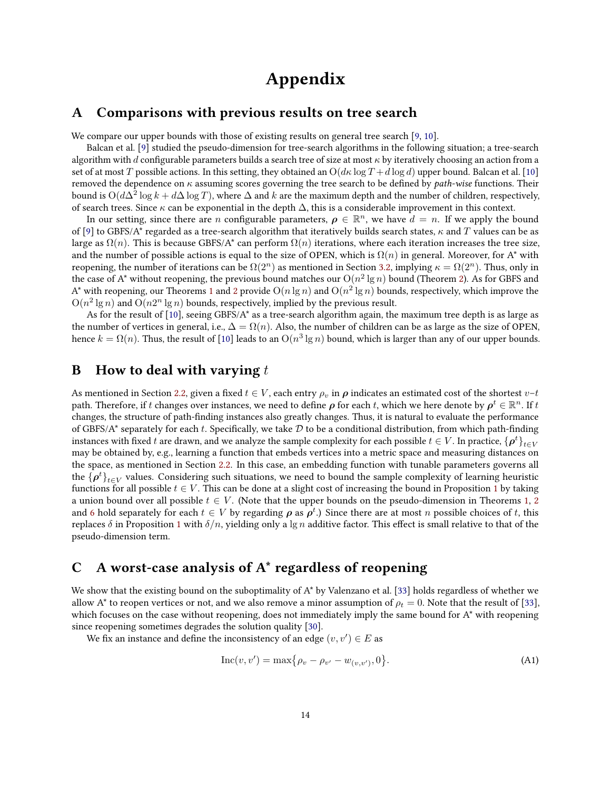# Appendix

## <span id="page-13-0"></span>A Comparisons with previous results on tree search

We compare our upper bounds with those of existing results on general tree search [\[9,](#page-11-6) [10\]](#page-11-7).

Balcan et al. [\[9\]](#page-11-6) studied the pseudo-dimension for tree-search algorithms in the following situation; a tree-search algorithm with d configurable parameters builds a search tree of size at most  $\kappa$  by iteratively choosing an action from a set of at most T possible actions. In this setting, they obtained an  $O(d\kappa \log T + d \log d)$  upper bound. Balcan et al. [\[10\]](#page-11-7) removed the dependence on  $\kappa$  assuming scores governing the tree search to be defined by *path-wise* functions. Their bound is  ${\rm O}(d\Delta^2\log k+d\Delta\log T)$ , where  $\Delta$  and  $k$  are the maximum depth and the number of children, respectively, of search trees. Since  $\kappa$  can be exponential in the depth  $\Delta$ , this is a considerable improvement in this context.

In our setting, since there are n configurable parameters,  $\rho \in \mathbb{R}^n$ , we have  $d = n$ . If we apply the bound of [\[9\]](#page-11-6) to GBFS/A\* regarded as a tree-search algorithm that iteratively builds search states,  $\kappa$  and T values can be as large as  $\Omega(n)$ . This is because GBFS/A\* can perform  $\Omega(n)$  iterations, where each iteration increases the tree size, and the number of possible actions is equal to the size of OPEN, which is  $\Omega(n)$  in general. Moreover, for A\* with reopening, the number of iterations can be  $\Omega(2^n)$  as mentioned in Section [3.2,](#page-4-5) implying  $\kappa = \Omega(2^n)$ . Thus, only in the case of A\* without reopening, the previous bound matches our  $\mathrm{O}(n^2 \lg n)$  bound (Theorem [2\)](#page-5-6). As for GBFS and A\* with reopening, our Theorems [1](#page-4-4) and [2](#page-5-6) provide  $\mathrm{O}(n\lg n)$  and  $\mathrm{O}(n^2\lg n)$  bounds, respectively, which improve the  $O(n^2 \lg n)$  and  $O(n2^n \lg n)$  bounds, respectively, implied by the previous result.

As for the result of [\[10\]](#page-11-7), seeing GBFS/A\* as a tree-search algorithm again, the maximum tree depth is as large as the number of vertices in general, i.e.,  $\Delta = \Omega(n)$ . Also, the number of children can be as large as the size of OPEN, hence  $k = \Omega(n)$ . Thus, the result of [\[10\]](#page-11-7) leads to an  $\O(n^3 \lg n)$  bound, which is larger than any of our upper bounds.

## <span id="page-13-1"></span>**B** How to deal with varying  $t$

As mentioned in Section [2.2,](#page-2-2) given a fixed  $t \in V$ , each entry  $\rho_v$  in  $\rho$  indicates an estimated cost of the shortest  $v-t$ path. Therefore, if  $t$  changes over instances, we need to define  $\bm\rho$  for each  $t$ , which we here denote by  $\bm\rho^t\in\mathbb{R}^n$ . If  $t$ changes, the structure of path-finding instances also greatly changes. Thus, it is natural to evaluate the performance of GBFS/A\* separately for each t. Specifically, we take  $D$  to be a conditional distribution, from which path-finding instances with fixed  $t$  are drawn, and we analyze the sample complexity for each possible  $t \in V.$  In practice,  $\{\bm\rho^t\}_{t\in V}$ may be obtained by, e.g., learning a function that embeds vertices into a metric space and measuring distances on the space, as mentioned in Section [2.2.](#page-2-2) In this case, an embedding function with tunable parameters governs all the  $\{\bm\rho^t\}_{t\in V}$  values. Considering such situations, we need to bound the sample complexity of learning heuristic functions for all possible  $t \in V$ . This can be done at a slight cost of increasing the bound in Proposition [1](#page-2-0) by taking a union bound over all possible  $t \in V$ . (Note that the upper bounds on the pseudo-dimension in Theorems [1,](#page-4-4) [2](#page-5-6) and [6](#page-8-4) hold separately for each  $t \in V$  by regarding  $\rho$  as  $\rho^t$ .) Since there are at most  $n$  possible choices of  $t$ , this replaces  $\delta$  in Proposition [1](#page-2-0) with  $\delta/n$ , yielding only a lg n additive factor. This effect is small relative to that of the pseudo-dimension term.

## <span id="page-13-2"></span>C A worst-case analysis of  $A^*$  regardless of reopening

We show that the existing bound on the suboptimality of A\* by Valenzano et al. [\[33\]](#page-12-3) holds regardless of whether we allow A\* to reopen vertices or not, and we also remove a minor assumption of  $\rho_t = 0$ . Note that the result of [\[33\]](#page-12-3), which focuses on the case without reopening, does not immediately imply the same bound for A\* with reopening since reopening sometimes degrades the solution quality [\[30\]](#page-12-10).

We fix an instance and define the inconsistency of an edge  $(v, v') \in E$  as

<span id="page-13-3"></span>
$$
Inc(v, v') = \max\{\rho_v - \rho_{v'} - w_{(v, v')}, 0\}.
$$
 (A1)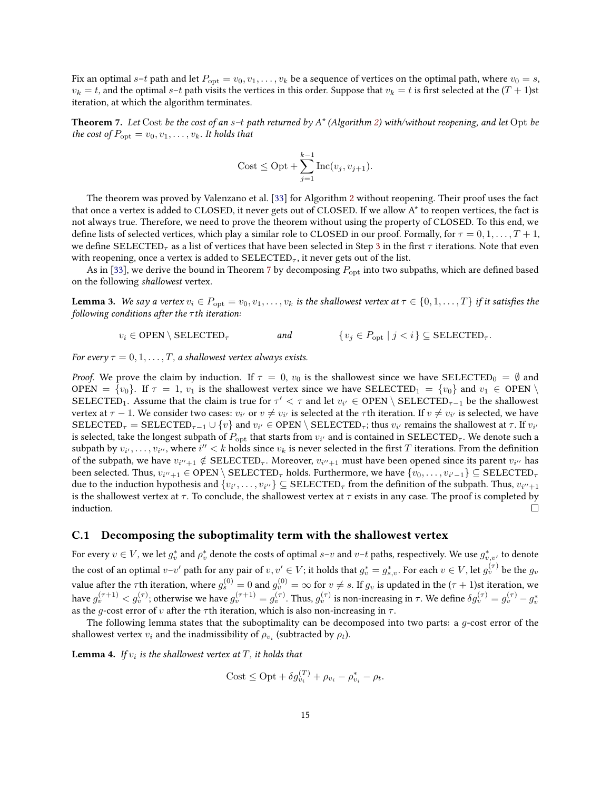Fix an optimal s–t path and let  $P_{\text{opt}} = v_0, v_1, \ldots, v_k$  be a sequence of vertices on the optimal path, where  $v_0 = s$ ,  $v_k = t$ , and the optimal s–t path visits the vertices in this order. Suppose that  $v_k = t$  is first selected at the  $(T + 1)$ st iteration, at which the algorithm terminates.

<span id="page-14-0"></span>**Theorem 7.** Let Cost be the cost of an  $s-t$  path returned by  $A^*$  (Algorithm [2\)](#page-5-0) with/without reopening, and let Opt be the cost of  $P_{\text{opt}} = v_0, v_1, \dots, v_k$ . It holds that

$$
Cost \le Opt + \sum_{j=1}^{k-1} Inc(v_j, v_{j+1}).
$$

The theorem was proved by Valenzano et al. [\[33\]](#page-12-3) for Algorithm [2](#page-5-0) without reopening. Their proof uses the fact that once a vertex is added to CLOSED, it never gets out of CLOSED. If we allow A\* to reopen vertices, the fact is not always true. Therefore, we need to prove the theorem without using the property of CLOSED. To this end, we define lists of selected vertices, which play a similar role to CLOSED in our proof. Formally, for  $\tau = 0, 1, \ldots, T + 1$ , we define SELECTED<sub> $\tau$ </sub> as a list of vertices that have been selected in Step [3](#page-5-1) in the first  $\tau$  iterations. Note that even with reopening, once a vertex is added to  $SELECTED_{\tau}$ , it never gets out of the list.

As in [\[33\]](#page-12-3), we derive the bound in Theorem [7](#page-14-0) by decomposing  $P_{\text{opt}}$  into two subpaths, which are defined based on the following shallowest vertex.

**Lemma 3.** We say a vertex  $v_i \in P_{\text{opt}} = v_0, v_1, \ldots, v_k$  is the shallowest vertex at  $\tau \in \{0, 1, \ldots, T\}$  if it satisfies the following conditions after the  $\tau$ th iteration:

$$
v_i \in \text{OPEN} \setminus \text{SELECTED}_{\tau} \qquad \qquad \text{and} \qquad \{v_j \in P_{\text{opt}} \mid j < i\} \subseteq \text{SELECTED}_{\tau}.
$$

For every  $\tau = 0, 1, \ldots, T$ , a shallowest vertex always exists.

*Proof.* We prove the claim by induction. If  $\tau = 0$ ,  $v_0$  is the shallowest since we have SELECTED<sub>0</sub> =  $\emptyset$  and OPEN =  $\{v_0\}$ . If  $\tau = 1$ ,  $v_1$  is the shallowest vertex since we have SELECTED<sub>1</sub> =  $\{v_0\}$  and  $v_1 \in$  OPEN SELECTED<sub>1</sub>. Assume that the claim is true for  $\tau' < \tau$  and let  $v_{i'} \in$  OPEN \ SELECTED<sub> $\tau-1$ </sub> be the shallowest vertex at  $\tau-1.$  We consider two cases:  $v_{i'}$  or  $v\neq v_{i'}$  is selected at the  $\tau$ th iteration. If  $v\neq v_{i'}$  is selected, we have  $\text{SELECTED}_{\tau} = \text{SELECTED}_{\tau-1} \cup \{v\}$  and  $v_{i'} \in \text{OPER} \setminus \text{SELECTED}_{\tau}$ ; thus  $v_{i'}$  remains the shallowest at  $\tau$ . If  $v_{i'}$ is selected, take the longest subpath of  $P_{\rm opt}$  that starts from  $v_{i'}$  and is contained in SELECTED<sub>7</sub>. We denote such a subpath by  $v_{i'},\ldots,v_{i''},$  where  $i'' < k$  holds since  $v_k$  is never selected in the first  $T$  iterations. From the definition of the subpath, we have  $v_{i''+1} \notin \text{SELECTED}_{\tau}$ . Moreover,  $v_{i''+1}$  must have been opened since its parent  $v_{i''}$  has been selected. Thus,  $v_{i''+1}\in {\rm OPER}\setminus {\rm SELECTED}_\tau$  holds. Furthermore, we have  $\{v_0,\ldots,v_{i'-1}\}\subseteq {\rm SELECTED}_\tau$ due to the induction hypothesis and  $\{v_{i'},\ldots,v_{i''}\}\subseteq\text{SELECTED}_\tau$  from the definition of the subpath. Thus,  $v_{i''+1}$ is the shallowest vertex at  $\tau$ . To conclude, the shallowest vertex at  $\tau$  exists in any case. The proof is completed by induction.  $\Box$ 

#### C.1 Decomposing the suboptimality term with the shallowest vertex

For every  $v\in V$ , we let  $g_v^*$  and  $\rho_v^*$  denote the costs of optimal  $s$ – $v$  and  $v$ – $t$  paths, respectively. We use  $g_{v,v'}^*$  to denote the cost of an optimal  $v$ – $v'$  path for any pair of  $v,v'\in V;$  it holds that  $g_v^*=g_{s,v}^*.$  For each  $v\in V,$  let  $g_v^{(\tau)}$  be the  $g_v$ value after the  $\tau$ th iteration, where  $g_s^{(0)}=0$  and  $g_v^{(0)}=\infty$  for  $v\neq s.$  If  $g_v$  is updated in the ( $\tau+1$ )st iteration, we have  $g_v^{(\tau+1)} < g_v^{(\tau)}$ ; otherwise we have  $g_v^{(\tau+1)} = g_v^{(\tau)}$ . Thus,  $g_v^{(\tau)}$  is non-increasing in  $\tau$ . We define  $\delta g_v^{(\tau)} = g_v^{(\tau)} - g_v^*$ as the g-cost error of v after the  $\tau$ th iteration, which is also non-increasing in  $\tau$ .

The following lemma states that the suboptimality can be decomposed into two parts: a g-cost error of the shallowest vertex  $v_i$  and the inadmissibility of  $\rho_{v_i}$  (subtracted by  $\rho_t$ ).

<span id="page-14-1"></span>**Lemma 4.** If  $v_i$  is the shallowest vertex at  $T$ , it holds that

$$
Cost \le Opt + \delta g_{v_i}^{(T)} + \rho_{v_i} - \rho_{v_i}^* - \rho_t.
$$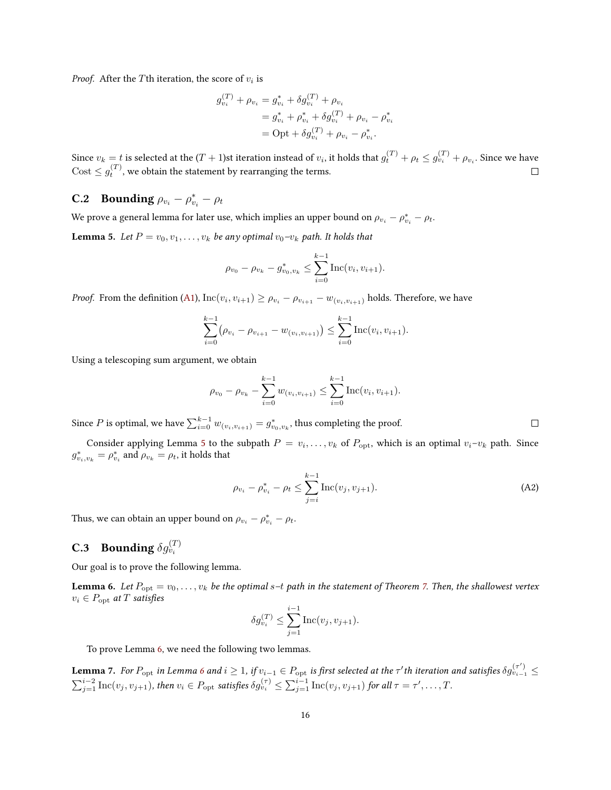*Proof.* After the Tth iteration, the score of  $v_i$  is

$$
g_{v_i}^{(T)} + \rho_{v_i} = g_{v_i}^* + \delta g_{v_i}^{(T)} + \rho_{v_i}
$$
  
=  $g_{v_i}^* + \rho_{v_i}^* + \delta g_{v_i}^{(T)} + \rho_{v_i} - \rho_{v_i}^*$   
= Opt +  $\delta g_{v_i}^{(T)} + \rho_{v_i} - \rho_{v_i}^*.$ 

Since  $v_k=t$  is selected at the  $(T+1)$ st iteration instead of  $v_i$ , it holds that  $g_t^{(T)}+\rho_t\leq g_{v_i}^{(T)}+\rho_{v_i}.$  Since we have  $\text{Cost} \leq g_t^{(T)}$ , we obtain the statement by rearranging the terms.  $\Box$ 

# **C.2** Bounding  $\rho_{v_i} - \rho_{v_i}^* - \rho_t$

We prove a general lemma for later use, which implies an upper bound on  $\rho_{v_i} - \rho_{v_i}^* - \rho_t$ .

<span id="page-15-0"></span>**Lemma 5.** Let  $P = v_0, v_1, \ldots, v_k$  be any optimal  $v_0-v_k$  path. It holds that

$$
\rho_{v_0} - \rho_{v_k} - g_{v_0, v_k}^* \le \sum_{i=0}^{k-1} \text{Inc}(v_i, v_{i+1}).
$$

*Proof.* From the definition [\(A1\)](#page-13-3),  $\text{Inc}(v_i, v_{i+1}) \ge \rho_{v_i} - \rho_{v_{i+1}} - w_{(v_i, v_{i+1})}$  holds. Therefore, we have

$$
\sum_{i=0}^{k-1} (\rho_{v_i} - \rho_{v_{i+1}} - w_{(v_i, v_{i+1})}) \le \sum_{i=0}^{k-1} \text{Inc}(v_i, v_{i+1}).
$$

Using a telescoping sum argument, we obtain

$$
\rho_{v_0} - \rho_{v_k} - \sum_{i=0}^{k-1} w_{(v_i, v_{i+1})} \le \sum_{i=0}^{k-1} \text{Inc}(v_i, v_{i+1}).
$$

Since  $P$  is optimal, we have  $\sum_{i=0}^{k-1} w_{(v_i, v_{i+1})} = g^*_{v_0, v_k}$ , thus completing the proof.

Consider applying Lemma [5](#page-15-0) to the subpath  $P = v_i, \ldots, v_k$  of  $P_{\text{opt}}$ , which is an optimal  $v_i - v_k$  path. Since  $g_{v_i,v_k}^* = \rho_{v_i}^*$  and  $\rho_{v_k} = \rho_t$ , it holds that

<span id="page-15-3"></span>
$$
\rho_{v_i} - \rho_{v_i}^* - \rho_t \le \sum_{j=i}^{k-1} \text{Inc}(v_j, v_{j+1}).
$$
\n(A2)

Thus, we can obtain an upper bound on  $\rho_{v_i} - \rho_{v_i}^* - \rho_t$ .

# **C.3** Bounding  $\delta g_{v_i}^{(T)}$

Our goal is to prove the following lemma.

<span id="page-15-1"></span>**Lemma 6.** Let  $P_{\text{opt}} = v_0, \ldots, v_k$  be the optimal s-t path in the statement of Theorem [7.](#page-14-0) Then, the shallowest vertex  $v_i \in P_{\text{opt}}$  at T satisfies

$$
\delta g_{v_i}^{(T)} \le \sum_{j=1}^{i-1} \mathrm{Inc}(v_j,v_{j+1}).
$$

To prove Lemma [6,](#page-15-1) we need the following two lemmas.

<span id="page-15-2"></span>**Lemma** 7. For  $P_{\rm opt}$  in Lemma [6](#page-15-1) and  $i \geq 1$ , if  $v_{i-1} \in P_{\rm opt}$  is first selected at the  $\tau'$ th iteration and satisfies  $\delta g_{v_{i-1}}^{(\tau')} \leq$  $\sum_{j=1}^{i-2}\text{Inc}(v_j,v_{j+1}),$  then  $v_i\in P_{\text{opt}}$  satisfies  $\delta g_{v_i}^{(\tau)}\leq \sum_{j=1}^{i-1}\text{Inc}(v_j,v_{j+1})$  for all  $\tau=\tau',\ldots,T.$ 

 $\Box$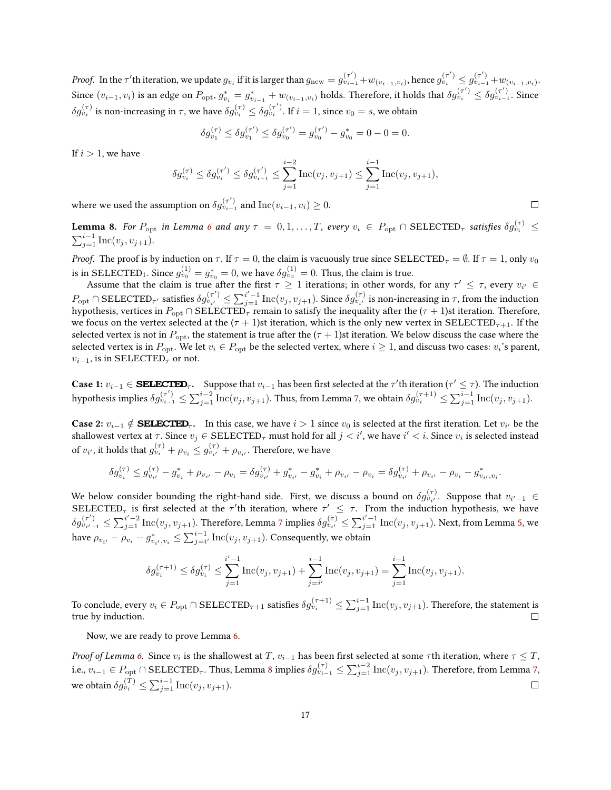*Proof.* In the  $\tau'$ th iteration, we update  $g_{v_i}$  if it is larger than  $g_{\text{new}} = g_{v_{i-1}}^{(\tau')} + w_{(v_{i-1},v_i)}$ , hence  $g_{v_i}^{(\tau')} \leq g_{v_{i-1}}^{(\tau')} + w_{(v_{i-1},v_i)}$ . Since  $(v_{i-1}, v_i)$  is an edge on  $P_{\rm opt}, g_{v_i}^* = g_{v_{i-1}}^* + w_{(v_{i-1}, v_i)}$  holds. Therefore, it holds that  $\delta g_{v_i}^{(\tau')} \leq \delta g_{v_{i-1}}^{(\tau')}$ . Since  $\delta g^{(\tau)}_{v_i}$  is non-increasing in  $\tau,$  we have  $\delta g^{(\tau)}_{v_i}\leq \delta g^{(\tau')}_{v_i}.$  If  $i=1,$  since  $v_0=s,$  we obtain

$$
\delta g_{v_1}^{(\tau)} \le \delta g_{v_1}^{(\tau')} \le \delta g_{v_0}^{(\tau')} = g_{v_0}^{(\tau')} - g_{v_0}^* = 0 - 0 = 0.
$$

If  $i > 1$ , we have

$$
\delta g_{v_i}^{(\tau)} \le \delta g_{v_i}^{(\tau')} \le \delta g_{v_{i-1}}^{(\tau')} \le \sum_{j=1}^{i-2} \text{Inc}(v_j, v_{j+1}) \le \sum_{j=1}^{i-1} \text{Inc}(v_j, v_{j+1}),
$$

where we used the assumption on  $\delta g^{(\tau')}_{v_{i-1}}$  and  ${\rm Inc}(v_{i-1},v_i)\geq 0.$ 

<span id="page-16-0"></span>**Lemma 8.** For  $P_{\text{opt}}$  in Lemma [6](#page-15-1) and any  $\tau~=~0,1,\ldots,T,$  every  $v_i~\in~P_{\text{opt}} \cap \text{SELECTED}_{\tau}$  satisfies  $\delta g_{v_i}^{(\tau)}~\leq$  $\sum_{j=1}^{i-1} \text{Inc}(v_j, v_{j+1}).$ 

*Proof.* The proof is by induction on  $\tau$ . If  $\tau = 0$ , the claim is vacuously true since SELECTED<sub> $\tau$ </sub> =  $\emptyset$ . If  $\tau = 1$ , only  $v_0$ is in SELECTED $_1$ . Since  $g_{v_0}^{(1)} = g_{v_0}^* = 0$ , we have  $\delta g_{v_0}^{(1)} = 0$ . Thus, the claim is true.

Assume that the claim is true after the first  $\tau \geq 1$  iterations; in other words, for any  $\tau' \leq \tau$ , every  $v_{i'} \in$  $P_{\text{opt}} \cap \text{SELECTED}_{\tau'}$  satisfies  $\delta g_{v_{i'}}^{(\tau')} \leq \sum_{j=1}^{i'-1} \text{Inc}(v_j, v_{j+1}).$  Since  $\delta g_{v_{i'}}^{(\tau)}$  is non-increasing in  $\tau$ , from the induction hypothesis, vertices in  $P_{\rm opt}\cap {\rm SELECTED}_\tau$  remain to satisfy the inequality after the ( $\tau+1$ )st iteration. Therefore, we focus on the vertex selected at the  $(\tau + 1)$ st iteration, which is the only new vertex in SELECTED<sub> $\tau+1$ </sub>. If the selected vertex is not in  $P_{\text{opt}}$ , the statement is true after the  $(\tau + 1)$ st iteration. We below discuss the case where the selected vertex is in  $P_{\rm opt}.$  We let  $v_i\in P_{\rm opt}$  be the selected vertex, where  $i\geq 1,$  and discuss two cases:  $v_i$ 's parent,  $v_{i-1}$ , is in SELECTED<sub> $\tau$ </sub> or not.

**Case 1:**  $v_{i-1} \in$  **SELECTED**<sub> $\tau$ </sub>. Suppose that  $v_{i-1}$  has been first selected at the  $\tau'$ th iteration ( $\tau' \leq \tau$ ). The induction hypothesis implies  $\delta g_{v_{i-1}}^{(\tau')} \leq \sum_{j=1}^{i-2}\text{Inc}(v_j,v_{j+1}).$  Thus, from Lemma [7,](#page-15-2) we obtain  $\delta g_{v_i}^{(\tau+1)} \leq \sum_{j=1}^{i-1}\text{Inc}(v_j,v_{j+1}).$ 

**Case 2:**  $v_{i-1} \notin$  **SELECTED**<sub> $\tau$ </sub>. In this case, we have  $i > 1$  since  $v_0$  is selected at the first iteration. Let  $v_{i'}$  be the shallowest vertex at  $\tau$ . Since  $v_j \in \text{SELECTED}_{\tau}$  must hold for all  $j < i',$  we have  $i' < i.$  Since  $v_i$  is selected instead of  $v_{i'}$ , it holds that  $g_{v_i}^{(\tau)} + \rho_{v_i} \leq g_{v_{i'}}^{(\tau)} + \rho_{v_{i'}}$ . Therefore, we have

$$
\delta g_{v_i}^{(\tau)} \leq g_{v_{i'}}^{(\tau)} - g_{v_i}^* + \rho_{v_{i'}} - \rho_{v_i} = \delta g_{v_{i'}}^{(\tau)} + g_{v_{i'}}^* - g_{v_i}^* + \rho_{v_{i'}} - \rho_{v_i} = \delta g_{v_{i'}}^{(\tau)} + \rho_{v_{i'}} - \rho_{v_i} - g_{v_{i'},v_i}^*.
$$

We below consider bounding the right-hand side. First, we discuss a bound on  $\delta g_{v_i}^{(\tau)}$ . Suppose that  $v_{i'-1} \in$ SELECTED<sub>7</sub> is first selected at the  $\tau'$ th iteration, where  $\tau' \leq \tau$ . From the induction hypothesis, we have  $\delta g_{v_{i'-1}}^{(\tau')} \leq \sum_{j=1}^{i'-2}\text{Inc}(v_j,v_{j+1}).$  Therefore, Lemma [7](#page-15-2) implies  $\delta g_{v_{i'}}^{(\tau)} \leq \sum_{j=1}^{i'-1}\text{Inc}(v_j,v_{j+1}).$  Next, from Lemma [5,](#page-15-0) we have  $\rho_{v_{i'}}-\rho_{v_{i}}-g^*_{v_{i'},v_{i}}\leq \sum_{j=i'}^{i-1}\text{Inc}(v_j,v_{j+1}).$  Consequently, we obtain

$$
\delta g_{v_i}^{(\tau+1)} \leq \delta g_{v_i}^{(\tau)} \leq \sum_{j=1}^{i'-1} \mathrm{Inc}(v_j,v_{j+1}) + \sum_{j=i'}^{i-1} \mathrm{Inc}(v_j,v_{j+1}) = \sum_{j=1}^{i-1} \mathrm{Inc}(v_j,v_{j+1}).
$$

To conclude, every  $v_i\in P_{\text{opt}}\cap\text{SELECTED}_{\tau+1}$  satisfies  $\delta g_{v_i}^{(\tau+1)}\leq \sum_{j=1}^{i-1}\text{Inc}(v_j,v_{j+1}).$  Therefore, the statement is true by induction.

Now, we are ready to prove Lemma [6.](#page-15-1)

Proof of Lemma [6.](#page-15-1) Since  $v_i$  is the shallowest at  $T,$   $v_{i-1}$  has been first selected at some  $\tau$ th iteration, where  $\tau\leq T,$ i.e.,  $v_{i-1} \in P_{\text{opt}} \cap \text{SELECTED}_{\tau}$ . Thus, Lemma [8](#page-16-0) implies  $\delta g_{v_{i-1}}^{(\tau)} \leq \sum_{j=1}^{i-2} \text{Inc}(v_j,v_{j+1})$ . Therefore, from Lemma [7,](#page-15-2) we obtain  $\delta g^{(T)}_{v_i} \leq \sum_{j=1}^{i-1} \text{Inc}(v_j,v_{j+1}).$  $\Box$ 

 $\Box$